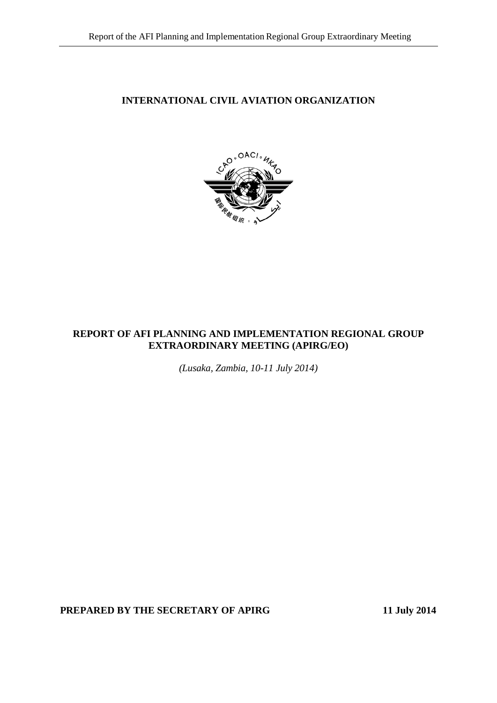## **INTERNATIONAL CIVIL AVIATION ORGANIZATION**



## **REPORT OF AFI PLANNING AND IMPLEMENTATION REGIONAL GROUP EXTRAORDINARY MEETING (APIRG/EO)**

*(Lusaka, Zambia, 10-11 July 2014)*

**PREPARED BY THE SECRETARY OF APIRG 11 July 2014**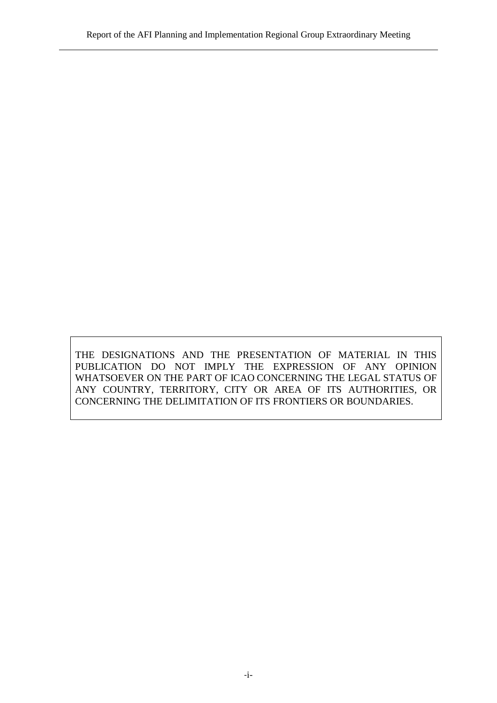THE DESIGNATIONS AND THE PRESENTATION OF MATERIAL IN THIS PUBLICATION DO NOT IMPLY THE EXPRESSION OF ANY OPINION WHATSOEVER ON THE PART OF ICAO CONCERNING THE LEGAL STATUS OF ANY COUNTRY, TERRITORY, CITY OR AREA OF ITS AUTHORITIES, OR CONCERNING THE DELIMITATION OF ITS FRONTIERS OR BOUNDARIES.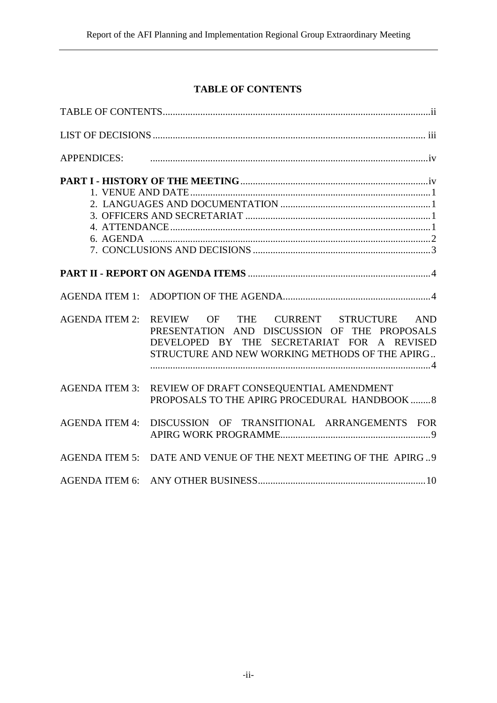# **TABLE OF CONTENTS**

<span id="page-2-0"></span>

| <b>AGENDA ITEM 2:</b> | REVIEW OF THE CURRENT STRUCTURE AND<br>PRESENTATION AND DISCUSSION OF THE PROPOSALS<br>DEVELOPED BY THE SECRETARIAT FOR A REVISED<br>STRUCTURE AND NEW WORKING METHODS OF THE APIRG |
|-----------------------|-------------------------------------------------------------------------------------------------------------------------------------------------------------------------------------|
| <b>AGENDA ITEM 3:</b> | REVIEW OF DRAFT CONSEQUENTIAL AMENDMENT<br>PROPOSALS TO THE APIRG PROCEDURAL HANDBOOK 8                                                                                             |
| <b>AGENDA ITEM 4:</b> | DISCUSSION OF TRANSITIONAL ARRANGEMENTS FOR                                                                                                                                         |
|                       | AGENDA ITEM 5: DATE AND VENUE OF THE NEXT MEETING OF THE APIRG9                                                                                                                     |
|                       |                                                                                                                                                                                     |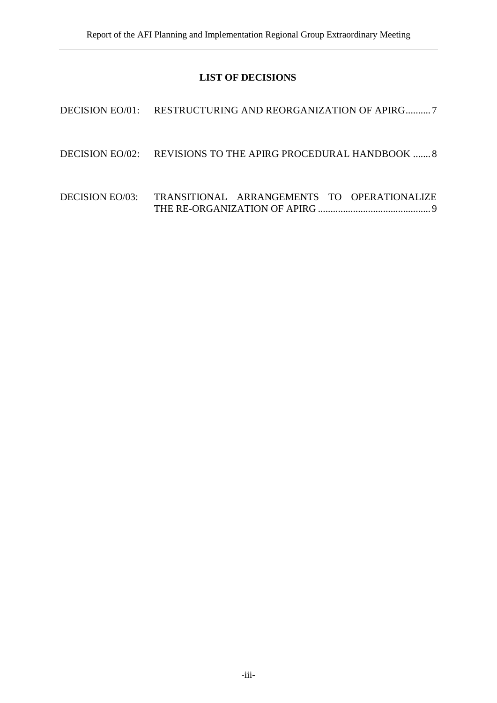## **LIST OF DECISIONS**

<span id="page-3-0"></span>[DECISION EO/01: RESTRUCTURING AND REORGANIZATION OF APIRG..........](#page-11-0) 7

[DECISION EO/02: REVISIONS TO THE APIRG PROCEDURAL HANDBOOK](#page-12-2) ....... 8

[DECISION EO/03: TRANSITIONAL ARRANGEMENTS TO OPERATIONALIZE](#page-13-1)  [THE RE-ORGANIZATION OF APIRG](#page-13-1) ............................................. 9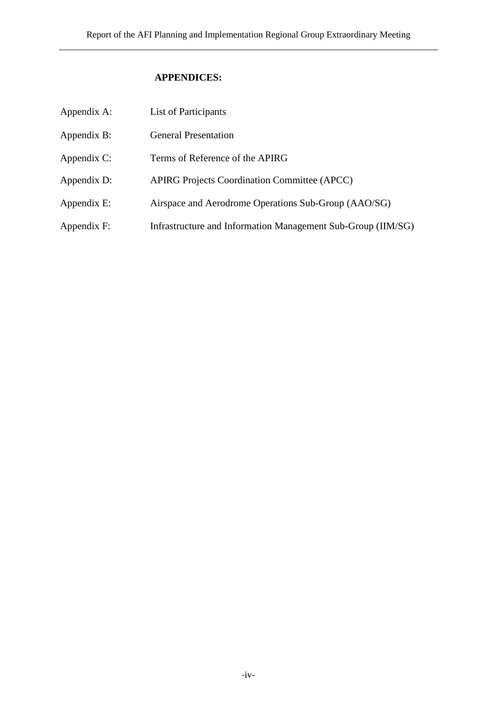# **APPENDICES:**

<span id="page-4-1"></span><span id="page-4-0"></span>

| Appendix A: | List of Participants                                         |
|-------------|--------------------------------------------------------------|
| Appendix B: | <b>General Presentation</b>                                  |
| Appendix C: | Terms of Reference of the APIRG                              |
| Appendix D: | <b>APIRG Projects Coordination Committee (APCC)</b>          |
| Appendix E: | Airspace and Aerodrome Operations Sub-Group (AAO/SG)         |
| Appendix F: | Infrastructure and Information Management Sub-Group (IIM/SG) |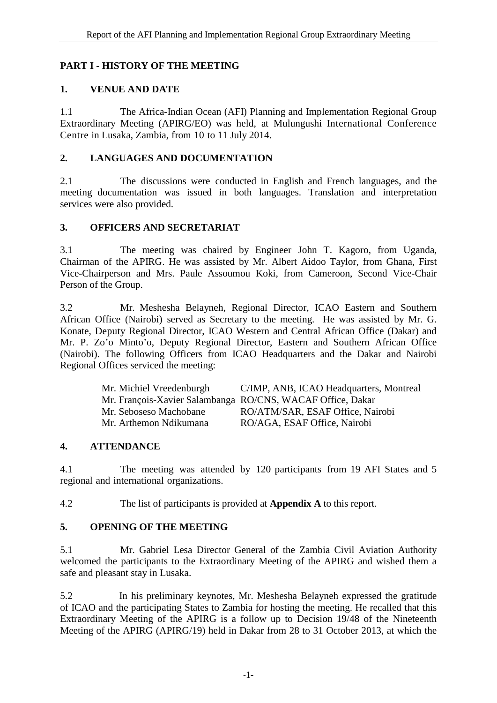# **PART I - HISTORY OF THE MEETING**

## <span id="page-5-0"></span>**1. VENUE AND DATE**

1.1 The Africa-Indian Ocean (AFI) Planning and Implementation Regional Group Extraordinary Meeting (APIRG/EO) was held, at Mulungushi International Conference Centre in Lusaka, Zambia, from 10 to 11 July 2014.

# <span id="page-5-1"></span>**2. LANGUAGES AND DOCUMENTATION**

2.1 The discussions were conducted in English and French languages, and the meeting documentation was issued in both languages. Translation and interpretation services were also provided.

# <span id="page-5-2"></span>**3. OFFICERS AND SECRETARIAT**

3.1 The meeting was chaired by Engineer John T. Kagoro, from Uganda, Chairman of the APIRG. He was assisted by Mr. Albert Aidoo Taylor, from Ghana, First Vice-Chairperson and Mrs. Paule Assoumou Koki, from Cameroon, Second Vice-Chair Person of the Group.

3.2 Mr. Meshesha Belayneh, Regional Director, ICAO Eastern and Southern African Office (Nairobi) served as Secretary to the meeting. He was assisted by Mr. G. Konate, Deputy Regional Director, ICAO Western and Central African Office (Dakar) and Mr. P. Zo'o Minto'o, Deputy Regional Director, Eastern and Southern African Office (Nairobi). The following Officers from ICAO Headquarters and the Dakar and Nairobi Regional Offices serviced the meeting:

| Mr. Michiel Vreedenburgh | C/IMP, ANB, ICAO Headquarters, Montreal                    |
|--------------------------|------------------------------------------------------------|
|                          | Mr. François-Xavier Salambanga RO/CNS, WACAF Office, Dakar |
| Mr. Seboseso Machobane   | RO/ATM/SAR, ESAF Office, Nairobi                           |
| Mr. Arthemon Ndikumana   | RO/AGA, ESAF Office, Nairobi                               |

# <span id="page-5-3"></span>**4. ATTENDANCE**

4.1 The meeting was attended by 120 participants from 19 AFI States and 5 regional and international organizations.

4.2 The list of participants is provided at **Appendix A** to this report.

# **5. OPENING OF THE MEETING**

5.1 Mr. Gabriel Lesa Director General of the Zambia Civil Aviation Authority welcomed the participants to the Extraordinary Meeting of the APIRG and wished them a safe and pleasant stay in Lusaka.

5.2 In his preliminary keynotes, Mr. Meshesha Belayneh expressed the gratitude of ICAO and the participating States to Zambia for hosting the meeting. He recalled that this Extraordinary Meeting of the APIRG is a follow up to Decision 19/48 of the Nineteenth Meeting of the APIRG (APIRG/19) held in Dakar from 28 to 31 October 2013, at which the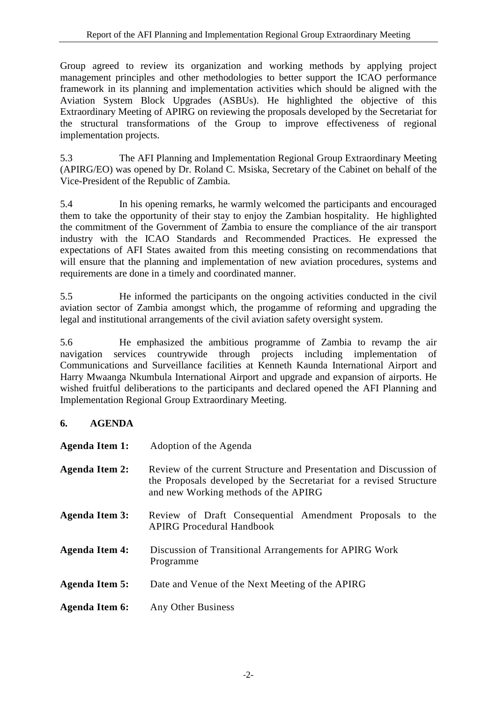Group agreed to review its organization and working methods by applying project management principles and other methodologies to better support the ICAO performance framework in its planning and implementation activities which should be aligned with the Aviation System Block Upgrades (ASBUs). He highlighted the objective of this Extraordinary Meeting of APIRG on reviewing the proposals developed by the Secretariat for the structural transformations of the Group to improve effectiveness of regional implementation projects.

5.3 The AFI Planning and Implementation Regional Group Extraordinary Meeting (APIRG/EO) was opened by Dr. Roland C. Msiska, Secretary of the Cabinet on behalf of the Vice-President of the Republic of Zambia.

5.4 In his opening remarks, he warmly welcomed the participants and encouraged them to take the opportunity of their stay to enjoy the Zambian hospitality. He highlighted the commitment of the Government of Zambia to ensure the compliance of the air transport industry with the ICAO Standards and Recommended Practices. He expressed the expectations of AFI States awaited from this meeting consisting on recommendations that will ensure that the planning and implementation of new aviation procedures, systems and requirements are done in a timely and coordinated manner.

5.5 He informed the participants on the ongoing activities conducted in the civil aviation sector of Zambia amongst which, the progamme of reforming and upgrading the legal and institutional arrangements of the civil aviation safety oversight system.

5.6 He emphasized the ambitious programme of Zambia to revamp the air navigation services countrywide through projects including implementation of Communications and Surveillance facilities at Kenneth Kaunda International Airport and Harry Mwaanga Nkumbula International Airport and upgrade and expansion of airports. He wished fruitful deliberations to the participants and declared opened the AFI Planning and Implementation Regional Group Extraordinary Meeting.

# <span id="page-6-0"></span>**6. AGENDA**

| <b>Agenda Item 1:</b> | Adoption of the Agenda                                                                                                                                                           |  |  |  |  |  |  |
|-----------------------|----------------------------------------------------------------------------------------------------------------------------------------------------------------------------------|--|--|--|--|--|--|
| <b>Agenda Item 2:</b> | Review of the current Structure and Presentation and Discussion of<br>the Proposals developed by the Secretariat for a revised Structure<br>and new Working methods of the APIRG |  |  |  |  |  |  |
| <b>Agenda Item 3:</b> | Review of Draft Consequential Amendment Proposals to the<br><b>APIRG Procedural Handbook</b>                                                                                     |  |  |  |  |  |  |
| <b>Agenda Item 4:</b> | Discussion of Transitional Arrangements for APIRG Work<br>Programme                                                                                                              |  |  |  |  |  |  |
| Agenda Item 5:        | Date and Venue of the Next Meeting of the APIRG                                                                                                                                  |  |  |  |  |  |  |
| <b>Agenda Item 6:</b> | Any Other Business                                                                                                                                                               |  |  |  |  |  |  |
|                       |                                                                                                                                                                                  |  |  |  |  |  |  |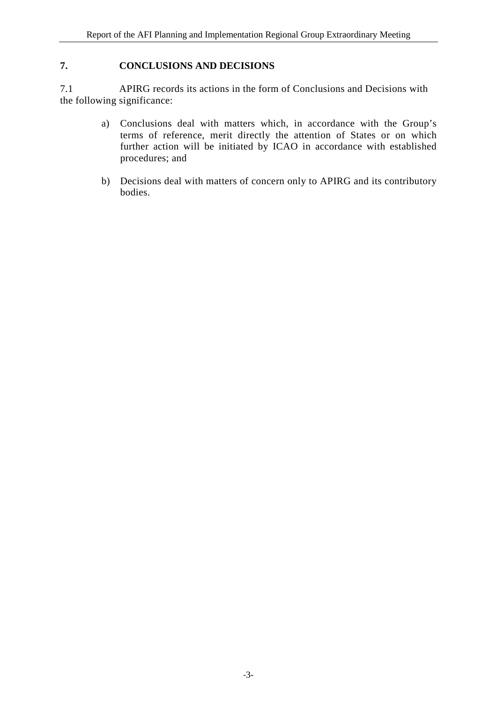## <span id="page-7-0"></span>**7. CONCLUSIONS AND DECISIONS**

7.1 APIRG records its actions in the form of Conclusions and Decisions with the following significance:

- a) Conclusions deal with matters which, in accordance with the Group's terms of reference, merit directly the attention of States or on which further action will be initiated by ICAO in accordance with established procedures; and
- b) Decisions deal with matters of concern only to APIRG and its contributory bodies.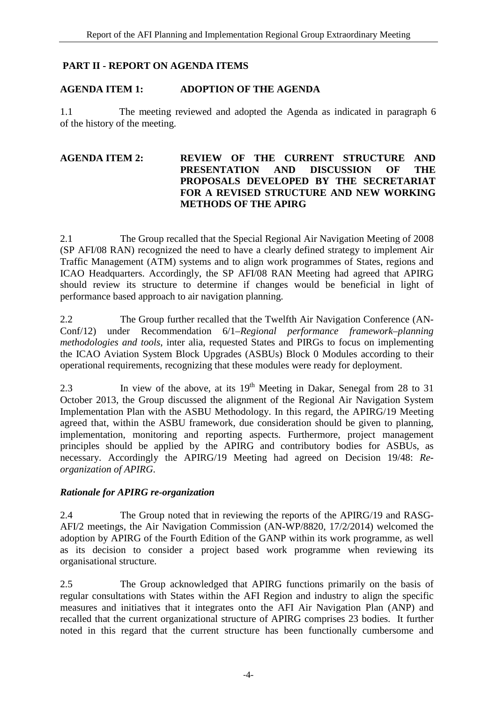## <span id="page-8-0"></span>**PART II - REPORT ON AGENDA ITEMS**

### <span id="page-8-1"></span>**AGENDA ITEM 1: ADOPTION OF THE AGENDA**

1.1 The meeting reviewed and adopted the Agenda as indicated in paragraph 6 of the history of the meeting.

### <span id="page-8-2"></span>**AGENDA ITEM 2: REVIEW OF THE CURRENT STRUCTURE AND PRESENTATION AND DISCUSSION OF THE PROPOSALS DEVELOPED BY THE SECRETARIAT FOR A REVISED STRUCTURE AND NEW WORKING METHODS OF THE APIRG**

2.1 The Group recalled that the Special Regional Air Navigation Meeting of 2008 (SP AFI/08 RAN) recognized the need to have a clearly defined strategy to implement Air Traffic Management (ATM) systems and to align work programmes of States, regions and ICAO Headquarters. Accordingly, the SP AFI/08 RAN Meeting had agreed that APIRG should review its structure to determine if changes would be beneficial in light of performance based approach to air navigation planning.

2.2 The Group further recalled that the Twelfth Air Navigation Conference (AN-Conf/12) under Recommendation 6/1–*Regional performance framework–planning methodologies and tools*, inter alia, requested States and PIRGs to focus on implementing the ICAO Aviation System Block Upgrades (ASBUs) Block 0 Modules according to their operational requirements, recognizing that these modules were ready for deployment.

2.3 In view of the above, at its  $19<sup>th</sup>$  Meeting in Dakar, Senegal from 28 to 31 October 2013, the Group discussed the alignment of the Regional Air Navigation System Implementation Plan with the ASBU Methodology. In this regard, the APIRG/19 Meeting agreed that, within the ASBU framework, due consideration should be given to planning, implementation, monitoring and reporting aspects. Furthermore, project management principles should be applied by the APIRG and contributory bodies for ASBUs, as necessary. Accordingly the APIRG/19 Meeting had agreed on Decision 19/48: *Reorganization of APIRG*.

## *Rationale for APIRG re-organization*

2.4 The Group noted that in reviewing the reports of the APIRG/19 and RASG-AFI/2 meetings, the Air Navigation Commission (AN-WP/8820, 17/2/2014) welcomed the adoption by APIRG of the Fourth Edition of the GANP within its work programme, as well as its decision to consider a project based work programme when reviewing its organisational structure.

2.5 The Group acknowledged that APIRG functions primarily on the basis of regular consultations with States within the AFI Region and industry to align the specific measures and initiatives that it integrates onto the AFI Air Navigation Plan (ANP) and recalled that the current organizational structure of APIRG comprises 23 bodies. It further noted in this regard that the current structure has been functionally cumbersome and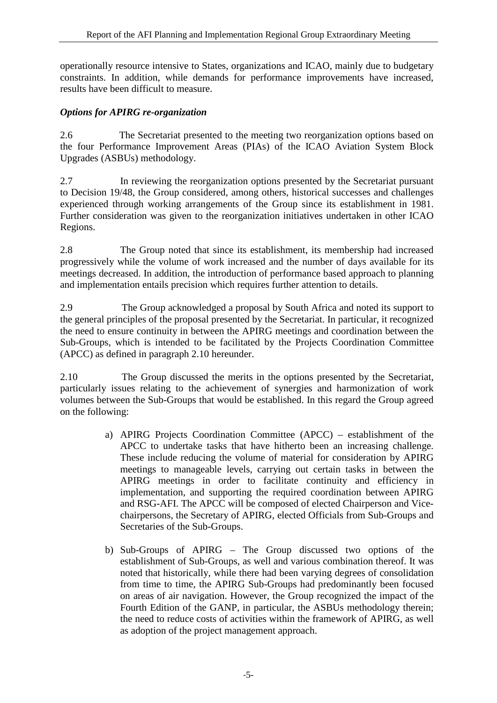operationally resource intensive to States, organizations and ICAO, mainly due to budgetary constraints. In addition, while demands for performance improvements have increased, results have been difficult to measure.

# *Options for APIRG re-organization*

2.6 The Secretariat presented to the meeting two reorganization options based on the four Performance Improvement Areas (PIAs) of the ICAO Aviation System Block Upgrades (ASBUs) methodology.

2.7 In reviewing the reorganization options presented by the Secretariat pursuant to Decision 19/48, the Group considered, among others, historical successes and challenges experienced through working arrangements of the Group since its establishment in 1981. Further consideration was given to the reorganization initiatives undertaken in other ICAO Regions.

2.8 The Group noted that since its establishment, its membership had increased progressively while the volume of work increased and the number of days available for its meetings decreased. In addition, the introduction of performance based approach to planning and implementation entails precision which requires further attention to details.

2.9 The Group acknowledged a proposal by South Africa and noted its support to the general principles of the proposal presented by the Secretariat. In particular, it recognized the need to ensure continuity in between the APIRG meetings and coordination between the Sub-Groups, which is intended to be facilitated by the Projects Coordination Committee (APCC) as defined in paragraph 2.10 hereunder.

2.10 The Group discussed the merits in the options presented by the Secretariat, particularly issues relating to the achievement of synergies and harmonization of work volumes between the Sub-Groups that would be established. In this regard the Group agreed on the following:

- a) APIRG Projects Coordination Committee (APCC) establishment of the APCC to undertake tasks that have hitherto been an increasing challenge. These include reducing the volume of material for consideration by APIRG meetings to manageable levels, carrying out certain tasks in between the APIRG meetings in order to facilitate continuity and efficiency in implementation, and supporting the required coordination between APIRG and RSG-AFI. The APCC will be composed of elected Chairperson and Vicechairpersons, the Secretary of APIRG, elected Officials from Sub-Groups and Secretaries of the Sub-Groups.
- b) Sub-Groups of APIRG The Group discussed two options of the establishment of Sub-Groups, as well and various combination thereof. It was noted that historically, while there had been varying degrees of consolidation from time to time, the APIRG Sub-Groups had predominantly been focused on areas of air navigation. However, the Group recognized the impact of the Fourth Edition of the GANP, in particular, the ASBUs methodology therein; the need to reduce costs of activities within the framework of APIRG, as well as adoption of the project management approach.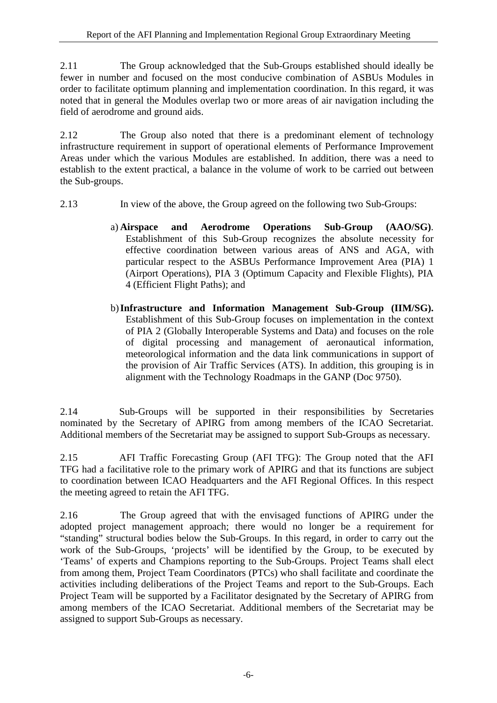2.11 The Group acknowledged that the Sub-Groups established should ideally be fewer in number and focused on the most conducive combination of ASBUs Modules in order to facilitate optimum planning and implementation coordination. In this regard, it was noted that in general the Modules overlap two or more areas of air navigation including the field of aerodrome and ground aids.

2.12 The Group also noted that there is a predominant element of technology infrastructure requirement in support of operational elements of Performance Improvement Areas under which the various Modules are established. In addition, there was a need to establish to the extent practical, a balance in the volume of work to be carried out between the Sub-groups.

- 2.13 In view of the above, the Group agreed on the following two Sub-Groups:
	- a) **Airspace and Aerodrome Operations Sub-Group (AAO/SG)**. Establishment of this Sub-Group recognizes the absolute necessity for effective coordination between various areas of ANS and AGA, with particular respect to the ASBUs Performance Improvement Area (PIA) 1 (Airport Operations), PIA 3 (Optimum Capacity and Flexible Flights), PIA 4 (Efficient Flight Paths); and
	- b)**Infrastructure and Information Management Sub-Group (IIM/SG).** Establishment of this Sub-Group focuses on implementation in the context of PIA 2 (Globally Interoperable Systems and Data) and focuses on the role of digital processing and management of aeronautical information, meteorological information and the data link communications in support of the provision of Air Traffic Services (ATS). In addition, this grouping is in alignment with the Technology Roadmaps in the GANP (Doc 9750).

2.14 Sub-Groups will be supported in their responsibilities by Secretaries nominated by the Secretary of APIRG from among members of the ICAO Secretariat. Additional members of the Secretariat may be assigned to support Sub-Groups as necessary.

2.15 AFI Traffic Forecasting Group (AFI TFG): The Group noted that the AFI TFG had a facilitative role to the primary work of APIRG and that its functions are subject to coordination between ICAO Headquarters and the AFI Regional Offices. In this respect the meeting agreed to retain the AFI TFG.

2.16 The Group agreed that with the envisaged functions of APIRG under the adopted project management approach; there would no longer be a requirement for "standing" structural bodies below the Sub-Groups. In this regard, in order to carry out the work of the Sub-Groups, 'projects' will be identified by the Group, to be executed by 'Teams' of experts and Champions reporting to the Sub-Groups. Project Teams shall elect from among them, Project Team Coordinators (PTCs) who shall facilitate and coordinate the activities including deliberations of the Project Teams and report to the Sub-Groups. Each Project Team will be supported by a Facilitator designated by the Secretary of APIRG from among members of the ICAO Secretariat. Additional members of the Secretariat may be assigned to support Sub-Groups as necessary.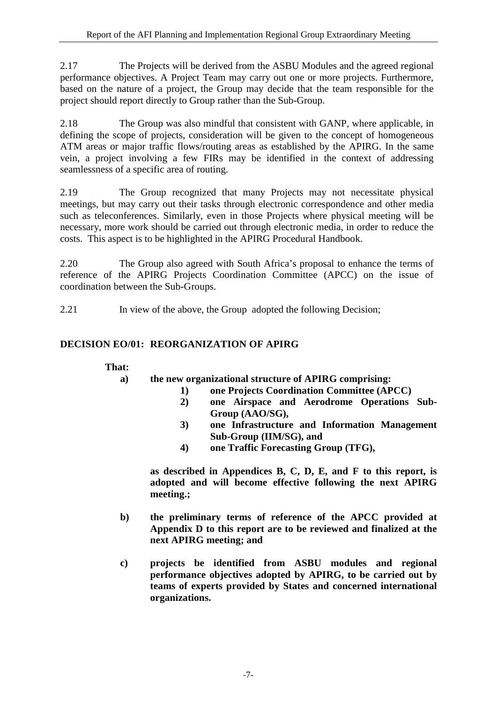2.17 The Projects will be derived from the ASBU Modules and the agreed regional performance objectives. A Project Team may carry out one or more projects. Furthermore, based on the nature of a project, the Group may decide that the team responsible for the project should report directly to Group rather than the Sub-Group.

2.18 The Group was also mindful that consistent with GANP, where applicable, in defining the scope of projects, consideration will be given to the concept of homogeneous ATM areas or major traffic flows/routing areas as established by the APIRG. In the same vein, a project involving a few FIRs may be identified in the context of addressing seamlessness of a specific area of routing.

2.19 The Group recognized that many Projects may not necessitate physical meetings, but may carry out their tasks through electronic correspondence and other media such as teleconferences. Similarly, even in those Projects where physical meeting will be necessary, more work should be carried out through electronic media, in order to reduce the costs. This aspect is to be highlighted in the APIRG Procedural Handbook.

2.20 The Group also agreed with South Africa's proposal to enhance the terms of reference of the APIRG Projects Coordination Committee (APCC) on the issue of coordination between the Sub-Groups.

2.21 In view of the above, the Group adopted the following Decision;

# <span id="page-11-0"></span>**DECISION EO/01: REORGANIZATION OF APIRG**

## **That:**

**a) the new organizational structure of APIRG comprising:**

- **1) one Projects Coordination Committee (APCC)**
- **2) one Airspace and Aerodrome Operations Sub-Group (AAO/SG),**
- **3) one Infrastructure and Information Management Sub-Group (IIM/SG), and**
- **4) one Traffic Forecasting Group (TFG),**

**as described in Appendices B, C, D, E, and F to this report, is adopted and will become effective following the next APIRG meeting.;**

- **b) the preliminary terms of reference of the APCC provided at Appendix D to this report are to be reviewed and finalized at the next APIRG meeting; and**
- **c) projects be identified from ASBU modules and regional performance objectives adopted by APIRG, to be carried out by teams of experts provided by States and concerned international organizations.**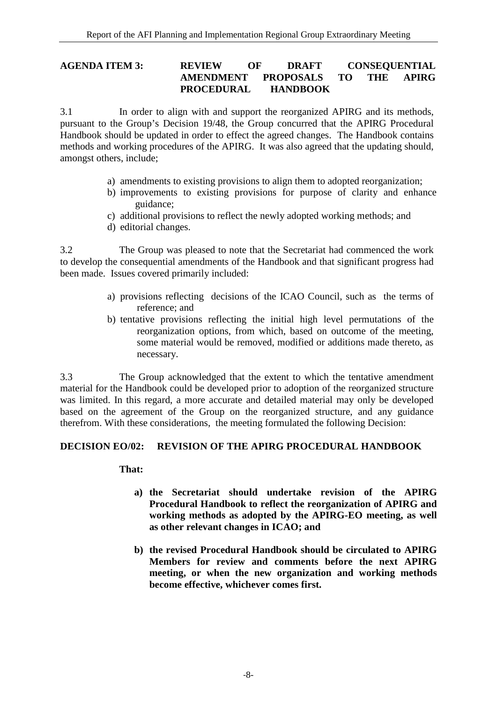### <span id="page-12-0"></span>**AGENDA ITEM 3: REVIEW OF DRAFT CONSEQUENTIAL AMENDMENT PROPOSALS TO THE APIRG PROCEDURAL HANDBOOK**

3.1 In order to align with and support the reorganized APIRG and its methods, pursuant to the Group's Decision 19/48, the Group concurred that the APIRG Procedural Handbook should be updated in order to effect the agreed changes. The Handbook contains methods and working procedures of the APIRG. It was also agreed that the updating should, amongst others, include;

- a) amendments to existing provisions to align them to adopted reorganization;
- b) improvements to existing provisions for purpose of clarity and enhance guidance;
- c) additional provisions to reflect the newly adopted working methods; and
- d) editorial changes.

3.2 The Group was pleased to note that the Secretariat had commenced the work to develop the consequential amendments of the Handbook and that significant progress had been made. Issues covered primarily included:

- a) provisions reflecting decisions of the ICAO Council, such as the terms of reference; and
- b) tentative provisions reflecting the initial high level permutations of the reorganization options, from which, based on outcome of the meeting, some material would be removed, modified or additions made thereto, as necessary.

3.3 The Group acknowledged that the extent to which the tentative amendment material for the Handbook could be developed prior to adoption of the reorganized structure was limited. In this regard, a more accurate and detailed material may only be developed based on the agreement of the Group on the reorganized structure, and any guidance therefrom. With these considerations, the meeting formulated the following Decision:

## <span id="page-12-2"></span>**DECISION EO/02: REVISION OF THE APIRG PROCEDURAL HANDBOOK**

#### **That:**

- **a) the Secretariat should undertake revision of the APIRG Procedural Handbook to reflect the reorganization of APIRG and working methods as adopted by the APIRG-EO meeting, as well as other relevant changes in ICAO; and**
- <span id="page-12-1"></span>**b) the revised Procedural Handbook should be circulated to APIRG Members for review and comments before the next APIRG meeting, or when the new organization and working methods become effective, whichever comes first.**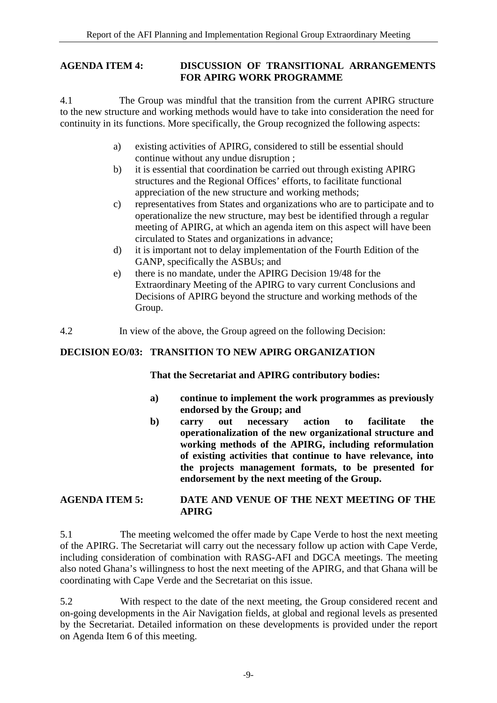### **AGENDA ITEM 4: DISCUSSION OF TRANSITIONAL ARRANGEMENTS FOR APIRG WORK PROGRAMME**

4.1 The Group was mindful that the transition from the current APIRG structure to the new structure and working methods would have to take into consideration the need for continuity in its functions. More specifically, the Group recognized the following aspects:

- a) existing activities of APIRG, considered to still be essential should continue without any undue disruption ;
- b) it is essential that coordination be carried out through existing APIRG structures and the Regional Offices' efforts, to facilitate functional appreciation of the new structure and working methods;
- c) representatives from States and organizations who are to participate and to operationalize the new structure, may best be identified through a regular meeting of APIRG, at which an agenda item on this aspect will have been circulated to States and organizations in advance;
- d) it is important not to delay implementation of the Fourth Edition of the GANP, specifically the ASBUs; and
- e) there is no mandate, under the APIRG Decision 19/48 for the Extraordinary Meeting of the APIRG to vary current Conclusions and Decisions of APIRG beyond the structure and working methods of the Group.
- 4.2 In view of the above, the Group agreed on the following Decision:

## <span id="page-13-1"></span>**DECISION EO/03: TRANSITION TO NEW APIRG ORGANIZATION**

## **That the Secretariat and APIRG contributory bodies:**

- **a) continue to implement the work programmes as previously endorsed by the Group; and**
- **b) carry out necessary action to facilitate the operationalization of the new organizational structure and working methods of the APIRG, including reformulation of existing activities that continue to have relevance, into the projects management formats, to be presented for endorsement by the next meeting of the Group.**

#### <span id="page-13-0"></span>**AGENDA ITEM 5: DATE AND VENUE OF THE NEXT MEETING OF THE APIRG**

5.1 The meeting welcomed the offer made by Cape Verde to host the next meeting of the APIRG. The Secretariat will carry out the necessary follow up action with Cape Verde, including consideration of combination with RASG-AFI and DGCA meetings. The meeting also noted Ghana's willingness to host the next meeting of the APIRG, and that Ghana will be coordinating with Cape Verde and the Secretariat on this issue.

5.2 With respect to the date of the next meeting, the Group considered recent and on-going developments in the Air Navigation fields, at global and regional levels as presented by the Secretariat. Detailed information on these developments is provided under the report on Agenda Item 6 of this meeting.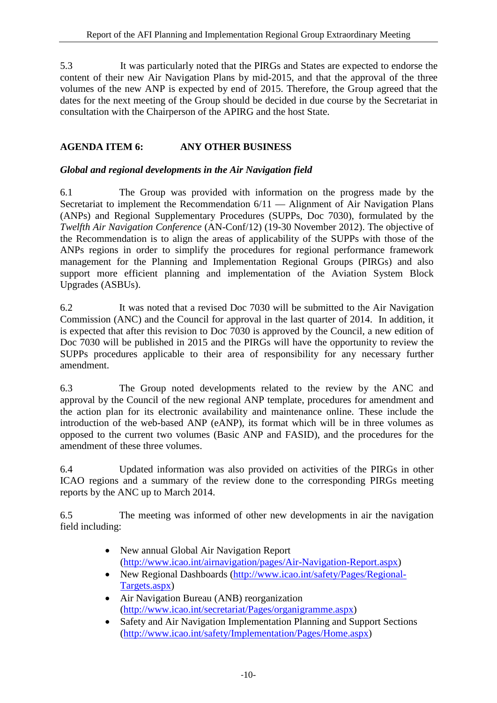5.3 It was particularly noted that the PIRGs and States are expected to endorse the content of their new Air Navigation Plans by mid-2015, and that the approval of the three volumes of the new ANP is expected by end of 2015. Therefore, the Group agreed that the dates for the next meeting of the Group should be decided in due course by the Secretariat in consultation with the Chairperson of the APIRG and the host State.

# <span id="page-14-0"></span>**AGENDA ITEM 6: ANY OTHER BUSINESS**

## *Global and regional developments in the Air Navigation field*

6.1 The Group was provided with information on the progress made by the Secretariat to implement the Recommendation  $6/11$  — Alignment of Air Navigation Plans (ANPs) and Regional Supplementary Procedures (SUPPs, Doc 7030), formulated by the *Twelfth Air Navigation Conference* (AN-Conf/12) (19-30 November 2012). The objective of the Recommendation is to align the areas of applicability of the SUPPs with those of the ANPs regions in order to simplify the procedures for regional performance framework management for the Planning and Implementation Regional Groups (PIRGs) and also support more efficient planning and implementation of the Aviation System Block Upgrades (ASBUs).

6.2 It was noted that a revised Doc 7030 will be submitted to the Air Navigation Commission (ANC) and the Council for approval in the last quarter of 2014. In addition, it is expected that after this revision to Doc 7030 is approved by the Council, a new edition of Doc 7030 will be published in 2015 and the PIRGs will have the opportunity to review the SUPPs procedures applicable to their area of responsibility for any necessary further amendment.

6.3 The Group noted developments related to the review by the ANC and approval by the Council of the new regional ANP template, procedures for amendment and the action plan for its electronic availability and maintenance online. These include the introduction of the web-based ANP (eANP), its format which will be in three volumes as opposed to the current two volumes (Basic ANP and FASID), and the procedures for the amendment of these three volumes.

6.4 Updated information was also provided on activities of the PIRGs in other ICAO regions and a summary of the review done to the corresponding PIRGs meeting reports by the ANC up to March 2014.

6.5 The meeting was informed of other new developments in air the navigation field including:

- New annual Global Air Navigation Report [\(http://www.icao.int/airnavigation/pages/Air-Navigation-Report.aspx\)](http://www.icao.int/airnavigation/pages/Air-Navigation-Report.aspx)
- New Regional Dashboards [\(http://www.icao.int/safety/Pages/Regional-](http://www.icao.int/safety/Pages/Regional-Targets.aspx)[Targets.aspx\)](http://www.icao.int/safety/Pages/Regional-Targets.aspx)
- Air Navigation Bureau (ANB) reorganization [\(http://www.icao.int/secretariat/Pages/organigramme.aspx\)](http://www.icao.int/secretariat/Pages/organigramme.aspx)
- Safety and Air Navigation Implementation Planning and Support Sections [\(http://www.icao.int/safety/Implementation/Pages/Home.aspx\)](http://www.icao.int/safety/Implementation/Pages/Home.aspx)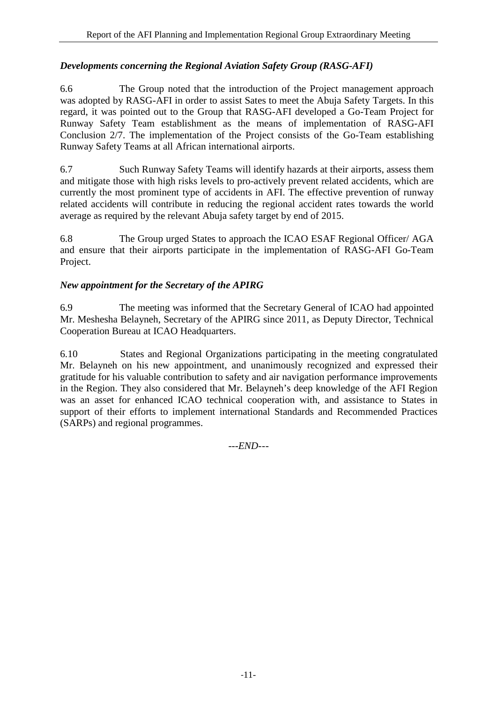## *Developments concerning the Regional Aviation Safety Group (RASG-AFI)*

6.6 The Group noted that the introduction of the Project management approach was adopted by RASG-AFI in order to assist Sates to meet the Abuja Safety Targets. In this regard, it was pointed out to the Group that RASG-AFI developed a Go-Team Project for Runway Safety Team establishment as the means of implementation of RASG-AFI Conclusion 2/7. The implementation of the Project consists of the Go-Team establishing Runway Safety Teams at all African international airports.

6.7 Such Runway Safety Teams will identify hazards at their airports, assess them and mitigate those with high risks levels to pro-actively prevent related accidents, which are currently the most prominent type of accidents in AFI. The effective prevention of runway related accidents will contribute in reducing the regional accident rates towards the world average as required by the relevant Abuja safety target by end of 2015.

6.8 The Group urged States to approach the ICAO ESAF Regional Officer/ AGA and ensure that their airports participate in the implementation of RASG-AFI Go-Team Project.

## *New appointment for the Secretary of the APIRG*

6.9 The meeting was informed that the Secretary General of ICAO had appointed Mr. Meshesha Belayneh, Secretary of the APIRG since 2011, as Deputy Director, Technical Cooperation Bureau at ICAO Headquarters.

6.10 States and Regional Organizations participating in the meeting congratulated Mr. Belayneh on his new appointment, and unanimously recognized and expressed their gratitude for his valuable contribution to safety and air navigation performance improvements in the Region. They also considered that Mr. Belayneh's deep knowledge of the AFI Region was an asset for enhanced ICAO technical cooperation with, and assistance to States in support of their efforts to implement international Standards and Recommended Practices (SARPs) and regional programmes.

*---END---*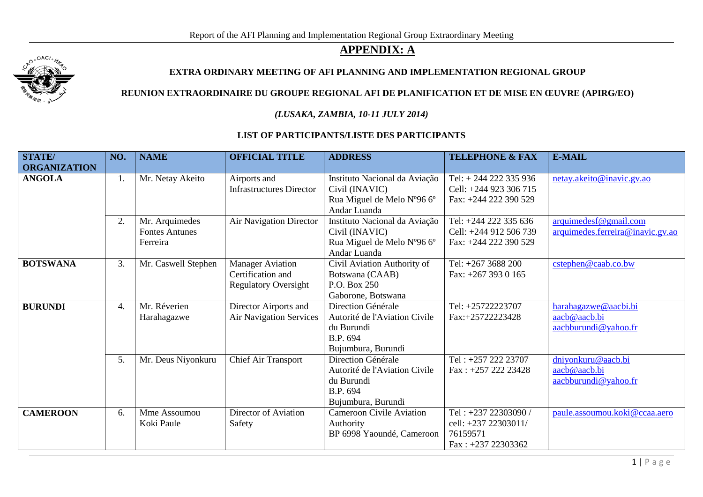# **APPENDIX: A**



#### **EXTRA ORDINARY MEETING OF AFI PLANNING AND IMPLEMENTATION REGIONAL GROUP**

#### **REUNION EXTRAORDINAIRE DU GROUPE REGIONAL AFI DE PLANIFICATION ET DE MISE EN ŒUVRE (APIRG/EO)**

#### *(LUSAKA, ZAMBIA, 10-11 JULY 2014)*

#### **LIST OF PARTICIPANTS/LISTE DES PARTICIPANTS**

| <b>STATE/</b>       | NO. | <b>NAME</b>           | <b>OFFICIAL TITLE</b>           | <b>ADDRESS</b>                  | <b>TELEPHONE &amp; FAX</b> | <b>E-MAIL</b>                    |
|---------------------|-----|-----------------------|---------------------------------|---------------------------------|----------------------------|----------------------------------|
| <b>ORGANIZATION</b> |     |                       |                                 |                                 |                            |                                  |
| <b>ANGOLA</b>       | 1.  | Mr. Netay Akeito      | Airports and                    | Instituto Nacional da Aviação   | Tel: + 244 222 335 936     | netay.akeito@inavic.gv.ao        |
|                     |     |                       | <b>Infrastructures Director</b> | Civil (INAVIC)                  | Cell: +244 923 306 715     |                                  |
|                     |     |                       |                                 | Rua Miguel de Melo Nº96 6º      | Fax: +244 222 390 529      |                                  |
|                     |     |                       |                                 | Andar Luanda                    |                            |                                  |
|                     | 2.  | Mr. Arquimedes        | Air Navigation Director         | Instituto Nacional da Aviação   | Tel: +244 222 335 636      | arquimedesf@gmail.com            |
|                     |     | <b>Fontes Antunes</b> |                                 | Civil (INAVIC)                  | Cell: +244 912 506 739     | arquimedes.ferreira@inavic.gv.ao |
|                     |     | Ferreira              |                                 | Rua Miguel de Melo Nº96 6º      | Fax: +244 222 390 529      |                                  |
|                     |     |                       |                                 | Andar Luanda                    |                            |                                  |
| <b>BOTSWANA</b>     | 3.  | Mr. Caswell Stephen   | <b>Manager Aviation</b>         | Civil Aviation Authority of     | Tel: $+267$ 3688 200       | cstephen@caab.co.bw              |
|                     |     |                       | Certification and               | Botswana (CAAB)                 | Fax: $+267$ 393 0 165      |                                  |
|                     |     |                       | <b>Regulatory Oversight</b>     | P.O. Box 250                    |                            |                                  |
|                     |     |                       |                                 | Gaborone, Botswana              |                            |                                  |
| <b>BURUNDI</b>      | 4.  | Mr. Réverien          | Director Airports and           | Direction Générale              | Tel: +25722223707          | harahagazwe@aacbi.bi             |
|                     |     | Harahagazwe           | <b>Air Navigation Services</b>  | Autorité de l'Aviation Civile   | Fax:+25722223428           | aacb@aacb.bi                     |
|                     |     |                       |                                 | du Burundi                      |                            | aacbburundi@yahoo.fr             |
|                     |     |                       |                                 | B.P. 694                        |                            |                                  |
|                     |     |                       |                                 | Bujumbura, Burundi              |                            |                                  |
|                     | 5.  | Mr. Deus Niyonkuru    | Chief Air Transport             | Direction Générale              | Tel: +257 222 23707        | dniyonkuru@aacb.bi               |
|                     |     |                       |                                 | Autorité de l'Aviation Civile   | Fax: $+257$ 222 23428      | aacb@aacb.bi                     |
|                     |     |                       |                                 | du Burundi                      |                            | aacbburundi@yahoo.fr             |
|                     |     |                       |                                 | B.P. 694                        |                            |                                  |
|                     |     |                       |                                 | Bujumbura, Burundi              |                            |                                  |
| <b>CAMEROON</b>     | 6.  | Mme Assoumou          | Director of Aviation            | <b>Cameroon Civile Aviation</b> | Tel: +237 22303090 /       | paule.assoumou.koki@ccaa.aero    |
|                     |     | Koki Paule            | Safety                          | Authority                       | cell: +237 22303011/       |                                  |
|                     |     |                       |                                 | BP 6998 Yaoundé, Cameroon       | 76159571                   |                                  |
|                     |     |                       |                                 |                                 | Fax: +237 22303362         |                                  |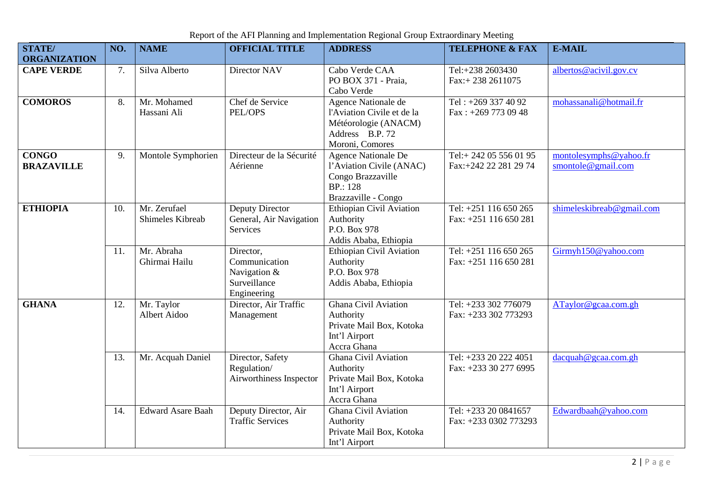Report of the AFI Planning and Implementation Regional Group Extraordinary Meeting

| <b>STATE/</b><br><b>ORGANIZATION</b> | NO. | <b>NAME</b>              | <b>OFFICIAL TITLE</b>    | <b>ADDRESS</b>                        | <b>TELEPHONE &amp; FAX</b> | <b>E-MAIL</b>             |
|--------------------------------------|-----|--------------------------|--------------------------|---------------------------------------|----------------------------|---------------------------|
| <b>CAPE VERDE</b>                    | 7.  | Silva Alberto            | Director NAV             | Cabo Verde CAA                        | Tel:+238 2603430           | albertos@acivil.gov.cv    |
|                                      |     |                          |                          | PO BOX 371 - Praia,                   | Fax:+238 2611075           |                           |
|                                      |     |                          |                          | Cabo Verde                            |                            |                           |
| <b>COMOROS</b>                       | 8.  | Mr. Mohamed              | Chef de Service          | Agence Nationale de                   | Tel: $+2693374092$         | mohassanali@hotmail.fr    |
|                                      |     | Hassani Ali              | PEL/OPS                  | l'Aviation Civile et de la            | Fax: $+269$ 773 09 48      |                           |
|                                      |     |                          |                          | Météorologie (ANACM)                  |                            |                           |
|                                      |     |                          |                          | Address B.P. 72                       |                            |                           |
|                                      |     |                          |                          | Moroni, Comores                       |                            |                           |
| <b>CONGO</b>                         | 9.  | Montole Symphorien       | Directeur de la Sécurité | <b>Agence Nationale De</b>            | Tel:+242 05 556 01 95      | montolesymphs@yahoo.fr    |
| <b>BRAZAVILLE</b>                    |     |                          | Aérienne                 | l'Aviation Civile (ANAC)              | Fax:+242 22 281 29 74      | smontole@gmail.com        |
|                                      |     |                          |                          | Congo Brazzaville                     |                            |                           |
|                                      |     |                          |                          | BP: 128                               |                            |                           |
|                                      |     |                          |                          | Brazzaville - Congo                   |                            |                           |
| <b>ETHIOPIA</b>                      | 10. | Mr. Zerufael             | Deputy Director          | Ethiopian Civil Aviation              | Tel: +251 116 650 265      | shimeleskibreab@gmail.com |
|                                      |     | Shimeles Kibreab         | General, Air Navigation  | Authority                             | Fax: +251 116 650 281      |                           |
|                                      |     |                          | Services                 | P.O. Box 978                          |                            |                           |
|                                      | 11. | Mr. Abraha               | Director,                | Addis Ababa, Ethiopia                 | Tel: +251 116 650 265      | Girmyh150@yahoo.com       |
|                                      |     | Ghirmai Hailu            | Communication            | Ethiopian Civil Aviation<br>Authority | Fax: +251 116 650 281      |                           |
|                                      |     |                          | Navigation &             | P.O. Box 978                          |                            |                           |
|                                      |     |                          | Surveillance             | Addis Ababa, Ethiopia                 |                            |                           |
|                                      |     |                          | Engineering              |                                       |                            |                           |
| <b>GHANA</b>                         | 12. | Mr. Taylor               | Director, Air Traffic    | <b>Ghana Civil Aviation</b>           | Tel: +233 302 776079       | ATaylor@gcaa.com.gh       |
|                                      |     | Albert Aidoo             | Management               | Authority                             | Fax: +233 302 773293       |                           |
|                                      |     |                          |                          | Private Mail Box, Kotoka              |                            |                           |
|                                      |     |                          |                          | Int'l Airport                         |                            |                           |
|                                      |     |                          |                          | Accra Ghana                           |                            |                           |
|                                      | 13. | Mr. Acquah Daniel        | Director, Safety         | Ghana Civil Aviation                  | Tel: +233 20 222 4051      | dacquah@gcaa.com.gh       |
|                                      |     |                          | Regulation/              | Authority                             | Fax: +233 30 277 6995      |                           |
|                                      |     |                          | Airworthiness Inspector  | Private Mail Box, Kotoka              |                            |                           |
|                                      |     |                          |                          | Int'l Airport                         |                            |                           |
|                                      |     |                          |                          | Accra Ghana                           |                            |                           |
|                                      | 14. | <b>Edward Asare Baah</b> | Deputy Director, Air     | Ghana Civil Aviation                  | Tel: +233 20 0841657       | Edwardbaah@yahoo.com      |
|                                      |     |                          | <b>Traffic Services</b>  | Authority                             | Fax: +233 0302 773293      |                           |
|                                      |     |                          |                          | Private Mail Box, Kotoka              |                            |                           |
|                                      |     |                          |                          | Int'l Airport                         |                            |                           |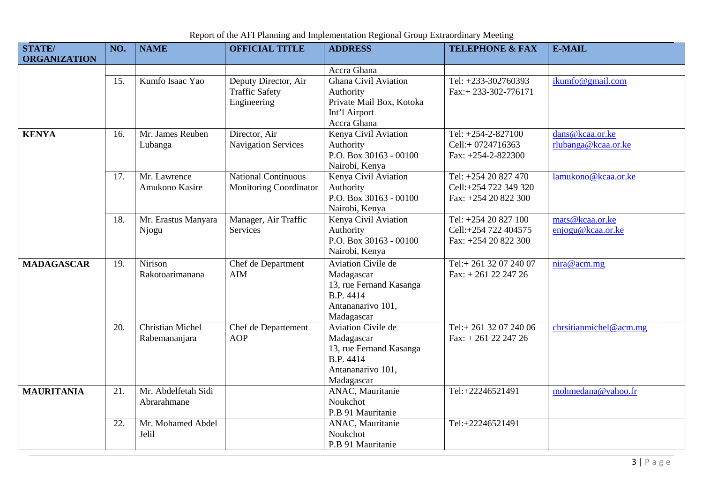Report of the AFI Planning and Implementation Regional Group Extraordinary Meeting

| STATE/              | NO. | <b>NAME</b>             | <b>OFFICIAL TITLE</b>         | <b>ADDRESS</b>              | <b>TELEPHONE &amp; FAX</b> | <b>E-MAIL</b>          |
|---------------------|-----|-------------------------|-------------------------------|-----------------------------|----------------------------|------------------------|
| <b>ORGANIZATION</b> |     |                         |                               |                             |                            |                        |
|                     |     |                         |                               | Accra Ghana                 |                            |                        |
|                     | 15. | Kumfo Isaac Yao         | Deputy Director, Air          | <b>Ghana Civil Aviation</b> | Tel: +233-302760393        | ikumfo@gmail.com       |
|                     |     |                         | <b>Traffic Safety</b>         | Authority                   | Fax:+233-302-776171        |                        |
|                     |     |                         | Engineering                   | Private Mail Box, Kotoka    |                            |                        |
|                     |     |                         |                               | Int'l Airport               |                            |                        |
|                     |     |                         |                               | Accra Ghana                 |                            |                        |
| <b>KENYA</b>        | 16. | Mr. James Reuben        | Director, Air                 | Kenya Civil Aviation        | Tel: $+254-2-827100$       | dans@kcaa.or.ke        |
|                     |     | Lubanga                 | <b>Navigation Services</b>    | Authority                   | Cell:+ 0724716363          | rlubanga@kcaa.or.ke    |
|                     |     |                         |                               | P.O. Box 30163 - 00100      | Fax: $+254-2-822300$       |                        |
|                     |     |                         |                               | Nairobi, Kenya              |                            |                        |
|                     | 17. | Mr. Lawrence            | <b>National Continuous</b>    | Kenya Civil Aviation        | Tel: +254 20 827 470       | lamukono@kcaa.or.ke    |
|                     |     | Amukono Kasire          | <b>Monitoring Coordinator</b> | Authority                   | Cell:+254 722 349 320      |                        |
|                     |     |                         |                               | P.O. Box 30163 - 00100      | Fax: +254 20 822 300       |                        |
|                     |     |                         |                               | Nairobi, Kenya              |                            |                        |
|                     | 18. | Mr. Erastus Manyara     | Manager, Air Traffic          | Kenya Civil Aviation        | Tel: +254 20 827 100       | mats@kcaa.or.ke        |
|                     |     | Njogu                   | Services                      | Authority                   | Cell:+254 722 404575       | enjogu@kcaa.or.ke      |
|                     |     |                         |                               | P.O. Box 30163 - 00100      | Fax: +254 20 822 300       |                        |
|                     |     |                         |                               | Nairobi, Kenya              |                            |                        |
| <b>MADAGASCAR</b>   | 19. | Nirison                 | Chef de Department            | Aviation Civile de          | Tel:+261 32 07 240 07      | nira@acm.mg            |
|                     |     | Rakotoarimanana         | AIM                           | Madagascar                  | Fax: $+ 261 22 247 26$     |                        |
|                     |     |                         |                               | 13, rue Fernand Kasanga     |                            |                        |
|                     |     |                         |                               | B.P. 4414                   |                            |                        |
|                     |     |                         |                               | Antananarivo 101,           |                            |                        |
|                     |     |                         |                               | Madagascar                  |                            |                        |
|                     | 20. | <b>Christian Michel</b> | Chef de Departement           | Aviation Civile de          | Tel:+261 32 07 240 06      | chrsitianmichel@acm.mg |
|                     |     | Rabemananjara           | <b>AOP</b>                    | Madagascar                  | Fax: $+261$ 22 247 26      |                        |
|                     |     |                         |                               | 13, rue Fernand Kasanga     |                            |                        |
|                     |     |                         |                               | B.P. 4414                   |                            |                        |
|                     |     |                         |                               | Antananarivo 101,           |                            |                        |
|                     |     |                         |                               | Madagascar                  |                            |                        |
| <b>MAURITANIA</b>   | 21. | Mr. Abdelfetah Sidi     |                               | ANAC, Mauritanie            | Tel:+22246521491           | mohmedana@yahoo.fr     |
|                     |     | Abrarahmane             |                               | Noukchot                    |                            |                        |
|                     |     |                         |                               | P.B 91 Mauritanie           |                            |                        |
|                     | 22. | Mr. Mohamed Abdel       |                               | ANAC, Mauritanie            | Tel:+22246521491           |                        |
|                     |     | <b>Jelil</b>            |                               | Noukchot                    |                            |                        |
|                     |     |                         |                               | P.B 91 Mauritanie           |                            |                        |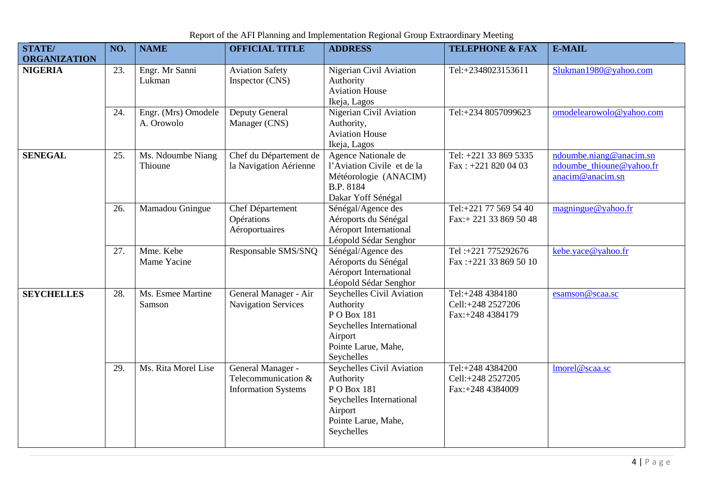Report of the AFI Planning and Implementation Regional Group Extraordinary Meeting

| <b>STATE</b> /<br><b>ORGANIZATION</b> | NO. | <b>NAME</b>                       | <b>OFFICIAL TITLE</b>                                                  | <b>ADDRESS</b>                                                                                                                   | <b>TELEPHONE &amp; FAX</b>                                | <b>E-MAIL</b>                                                           |
|---------------------------------------|-----|-----------------------------------|------------------------------------------------------------------------|----------------------------------------------------------------------------------------------------------------------------------|-----------------------------------------------------------|-------------------------------------------------------------------------|
| <b>NIGERIA</b>                        | 23. | Engr. Mr Sanni<br>Lukman          | <b>Aviation Safety</b><br>Inspector (CNS)                              | Nigerian Civil Aviation<br>Authority<br><b>Aviation House</b><br>Ikeja, Lagos                                                    | Tel:+2348023153611                                        | Slukman1980@yahoo.com                                                   |
|                                       | 24. | Engr. (Mrs) Omodele<br>A. Orowolo | <b>Deputy General</b><br>Manager (CNS)                                 | Nigerian Civil Aviation<br>Authority,<br><b>Aviation House</b><br>Ikeja, Lagos                                                   | Tel:+234 8057099623                                       | omodelearowolo@yahoo.com                                                |
| <b>SENEGAL</b>                        | 25. | Ms. Ndoumbe Niang<br>Thioune      | Chef du Département de<br>la Navigation Aérienne                       | Agence Nationale de<br>l'Aviation Civile et de la<br>Météorologie (ANACIM)<br>B.P. 8184<br>Dakar Yoff Sénégal                    | Tel: +221 33 869 5335<br>Fax: $+2218200403$               | ndoumbe.niang@anacim.sn<br>ndoumbe thioune@yahoo.fr<br>anacim@anacim.sn |
|                                       | 26. | Mamadou Gningue                   | Chef Département<br>Opérations<br>Aéroportuaires                       | Sénégal/Agence des<br>Aéroports du Sénégal<br>Aéroport International<br>Léopold Sédar Senghor                                    | Tel:+221 77 569 54 40<br>Fax:+221 33 869 50 48            | magningue@yahoo.fr                                                      |
|                                       | 27. | Mme. Kebe<br>Mame Yacine          | Responsable SMS/SNQ                                                    | Sénégal/Agence des<br>Aéroports du Sénégal<br>Aéroport International<br>Léopold Sédar Senghor                                    | Tel:+221 775292676<br>Fax:+221 33 869 50 10               | kebe.yace@yahoo.fr                                                      |
| <b>SEYCHELLES</b>                     | 28. | Ms. Esmee Martine<br>Samson       | General Manager - Air<br><b>Navigation Services</b>                    | Seychelles Civil Aviation<br>Authority<br>PO Box 181<br>Seychelles International<br>Airport<br>Pointe Larue, Mahe,<br>Seychelles | Tel:+248 4384180<br>Cell:+248 2527206<br>Fax:+248 4384179 | esamson@scaa.sc                                                         |
|                                       | 29. | Ms. Rita Morel Lise               | General Manager -<br>Telecommunication &<br><b>Information Systems</b> | Seychelles Civil Aviation<br>Authority<br>PO Box 181<br>Seychelles International<br>Airport<br>Pointe Larue, Mahe,<br>Seychelles | Tel:+248 4384200<br>Cell:+248 2527205<br>Fax:+248 4384009 | lmorel@scaa.sc                                                          |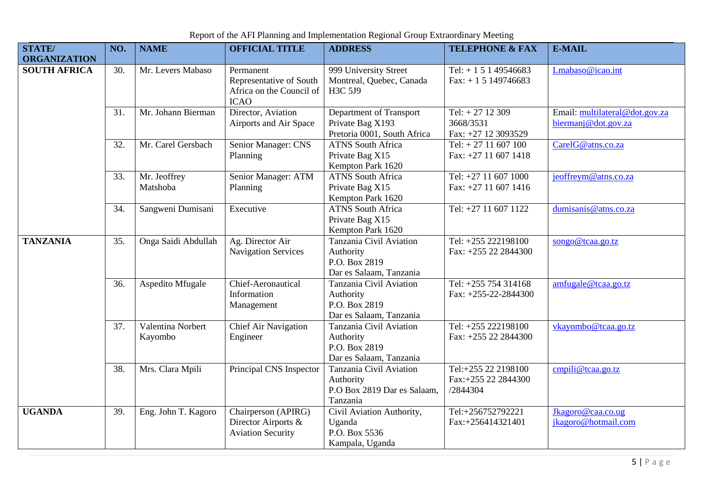Report of the AFI Planning and Implementation Regional Group Extraordinary Meeting

| <b>STATE/</b>       | NO. | <b>NAME</b>                  | <b>OFFICIAL TITLE</b>                                                           | <b>ADDRESS</b>                                                                   | <b>TELEPHONE &amp; FAX</b>                             | <b>E-MAIL</b>                                         |
|---------------------|-----|------------------------------|---------------------------------------------------------------------------------|----------------------------------------------------------------------------------|--------------------------------------------------------|-------------------------------------------------------|
| <b>ORGANIZATION</b> |     |                              |                                                                                 |                                                                                  |                                                        |                                                       |
| <b>SOUTH AFRICA</b> | 30. | Mr. Levers Mabaso            | Permanent<br>Representative of South<br>Africa on the Council of<br><b>ICAO</b> | 999 University Street<br>Montreal, Quebec, Canada<br>H3C 5J9                     | Tel: $+ 15149546683$<br>$Fax: + 15149746683$           | Lmabaso@icao.int                                      |
|                     | 31. | Mr. Johann Bierman           | Director, Aviation<br>Airports and Air Space                                    | Department of Transport<br>Private Bag X193<br>Pretoria 0001, South Africa       | Tel: $+2712309$<br>3668/3531<br>Fax: +27 12 3093529    | Email: multilateral@dot.gov.za<br>biermanj@dot.gov.za |
|                     | 32. | Mr. Carel Gersbach           | Senior Manager: CNS<br>Planning                                                 | <b>ATNS South Africa</b><br>Private Bag X15<br>Kempton Park 1620                 | Tel: $+27$ 11 607 100<br>Fax: +27 11 607 1418          | CarelG@atns.co.za                                     |
|                     | 33. | Mr. Jeoffrey<br>Matshoba     | Senior Manager: ATM<br>Planning                                                 | <b>ATNS South Africa</b><br>Private Bag X15<br>Kempton Park 1620                 | Tel: $+27$ 11 607 1000<br>Fax: +27 11 607 1416         | jeoffreym@atns.co.za                                  |
|                     | 34. | Sangweni Dumisani            | Executive                                                                       | <b>ATNS South Africa</b><br>Private Bag X15<br>Kempton Park 1620                 | Tel: +27 11 607 1122                                   | dumisanis@atns.co.za                                  |
| <b>TANZANIA</b>     | 35. | Onga Saidi Abdullah          | Ag. Director Air<br><b>Navigation Services</b>                                  | Tanzania Civil Aviation<br>Authority<br>P.O. Box 2819<br>Dar es Salaam, Tanzania | Tel: +255 222198100<br>Fax: +255 22 2844300            | songo@tcaa.go.tz                                      |
|                     | 36. | Aspedito Mfugale             | Chief-Aeronautical<br>Information<br>Management                                 | Tanzania Civil Aviation<br>Authority<br>P.O. Box 2819<br>Dar es Salaam, Tanzania | Tel: +255 754 314168<br>Fax: $+255-22-2844300$         | amfugale@tcaa.go.tz                                   |
|                     | 37. | Valentina Norbert<br>Kayombo | <b>Chief Air Navigation</b><br>Engineer                                         | Tanzania Civil Aviation<br>Authority<br>P.O. Box 2819<br>Dar es Salaam, Tanzania | Tel: +255 222198100<br>Fax: +255 22 2844300            | vkayombo@tcaa.go.tz                                   |
|                     | 38. | Mrs. Clara Mpili             | Principal CNS Inspector                                                         | Tanzania Civil Aviation<br>Authority<br>P.O Box 2819 Dar es Salaam,<br>Tanzania  | Tel:+255 22 2198100<br>Fax:+255 22 2844300<br>/2844304 | cmpili@tcaa.go.tz                                     |
| <b>UGANDA</b>       | 39. | Eng. John T. Kagoro          | Chairperson (APIRG)<br>Director Airports &<br><b>Aviation Security</b>          | Civil Aviation Authority,<br>Uganda<br>P.O. Box 5536<br>Kampala, Uganda          | Tel:+256752792221<br>Fax:+256414321401                 | Jkagoro@caa.co.ug<br>jkagoro@hotmail.com              |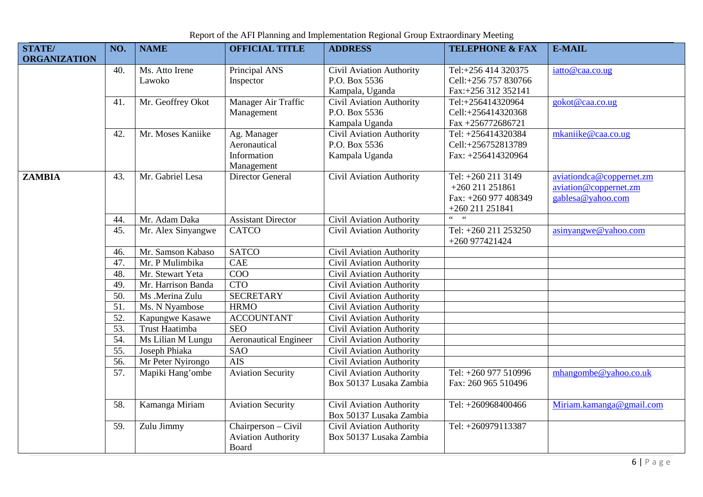Report of the AFI Planning and Implementation Regional Group Extraordinary Meeting

| <b>STATE/</b><br><b>ORGANIZATION</b> | NO.        | <b>NAME</b>                         | <b>OFFICIAL TITLE</b>                                       | <b>ADDRESS</b>                                               | <b>TELEPHONE &amp; FAX</b>                                                         | <b>E-MAIL</b>                                                          |
|--------------------------------------|------------|-------------------------------------|-------------------------------------------------------------|--------------------------------------------------------------|------------------------------------------------------------------------------------|------------------------------------------------------------------------|
|                                      | 40.        | Ms. Atto Irene<br>Lawoko            | Principal ANS<br>Inspector                                  | Civil Aviation Authority<br>P.O. Box 5536<br>Kampala, Uganda | Tel:+256 414 320375<br>Cell:+256 757 830766<br>Fax:+256 312 352141                 | iatto@caa.co.ug                                                        |
|                                      | 41.        | Mr. Geoffrey Okot                   | Manager Air Traffic<br>Management                           | Civil Aviation Authority<br>P.O. Box 5536<br>Kampala Uganda  | Tel:+256414320964<br>Cell:+256414320368<br>Fax +256772686721                       | gokot@caa.co.ug                                                        |
|                                      | 42.        | Mr. Moses Kaniike                   | Ag. Manager<br>Aeronautical<br>Information<br>Management    | Civil Aviation Authority<br>P.O. Box 5536<br>Kampala Uganda  | Tel: +256414320384<br>Cell:+256752813789<br>Fax: +256414320964                     | mkaniike@caa.co.ug                                                     |
| <b>ZAMBIA</b>                        | 43.        | Mr. Gabriel Lesa                    | <b>Director General</b>                                     | Civil Aviation Authority                                     | Tel: +260 211 3149<br>$+260$ 211 251861<br>Fax: +260 977 408349<br>$+260211251841$ | aviationdca@coppernet.zm<br>aviation@coppernet.zm<br>gablesa@yahoo.com |
|                                      | 44.<br>45. | Mr. Adam Daka<br>Mr. Alex Sinyangwe | <b>Assistant Director</b><br><b>CATCO</b>                   | Civil Aviation Authority<br>Civil Aviation Authority         | $66 - 66$<br>Tel: +260 211 253250<br>+260 977421424                                | asinyangwe@yahoo.com                                                   |
|                                      | 46.        | Mr. Samson Kabaso                   | <b>SATCO</b>                                                | Civil Aviation Authority                                     |                                                                                    |                                                                        |
|                                      | 47.        | Mr. P Mulimbika                     | <b>CAE</b>                                                  | Civil Aviation Authority                                     |                                                                                    |                                                                        |
|                                      | 48.        | Mr. Stewart Yeta                    | COO                                                         | Civil Aviation Authority                                     |                                                                                    |                                                                        |
|                                      | 49.        | Mr. Harrison Banda                  | <b>CTO</b>                                                  | Civil Aviation Authority                                     |                                                                                    |                                                                        |
|                                      | 50.        | Ms .Merina Zulu                     | <b>SECRETARY</b>                                            | Civil Aviation Authority                                     |                                                                                    |                                                                        |
|                                      | 51.        | Ms. N Nyambose                      | <b>HRMO</b>                                                 | Civil Aviation Authority                                     |                                                                                    |                                                                        |
|                                      | 52.        | Kapungwe Kasawe                     | <b>ACCOUNTANT</b>                                           | Civil Aviation Authority                                     |                                                                                    |                                                                        |
|                                      | 53.        | Trust Haatimba                      | <b>SEO</b>                                                  | Civil Aviation Authority                                     |                                                                                    |                                                                        |
|                                      | 54.        | Ms Lilian M Lungu                   | <b>Aeronautical Engineer</b>                                | Civil Aviation Authority                                     |                                                                                    |                                                                        |
|                                      | 55.        | Joseph Phiaka                       | <b>SAO</b>                                                  | Civil Aviation Authority                                     |                                                                                    |                                                                        |
|                                      | 56.        | Mr Peter Nyirongo                   | <b>AIS</b>                                                  | Civil Aviation Authority                                     |                                                                                    |                                                                        |
|                                      | 57.        | Mapiki Hang'ombe                    | <b>Aviation Security</b>                                    | Civil Aviation Authority<br>Box 50137 Lusaka Zambia          | Tel: +260 977 510996<br>Fax: 260 965 510496                                        | mhangombe@yahoo.co.uk                                                  |
|                                      | 58.        | Kamanga Miriam                      | <b>Aviation Security</b>                                    | Civil Aviation Authority<br>Box 50137 Lusaka Zambia          | Tel: +260968400466                                                                 | Miriam.kamanga@gmail.com                                               |
|                                      | 59.        | Zulu Jimmy                          | $Chairperson - Civil$<br><b>Aviation Authority</b><br>Board | Civil Aviation Authority<br>Box 50137 Lusaka Zambia          | Tel: +260979113387                                                                 |                                                                        |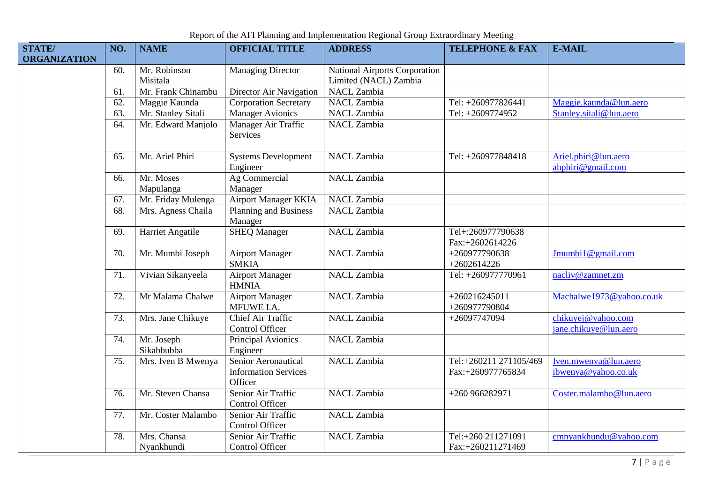Report of the AFI Planning and Implementation Regional Group Extraordinary Meeting

| <b>STATE/</b>       | NO. | <b>NAME</b>                     | <b>OFFICIAL TITLE</b>                  | <b>ADDRESS</b>                                                | <b>TELEPHONE &amp; FAX</b> | <b>E-MAIL</b>            |
|---------------------|-----|---------------------------------|----------------------------------------|---------------------------------------------------------------|----------------------------|--------------------------|
| <b>ORGANIZATION</b> |     |                                 |                                        |                                                               |                            |                          |
|                     | 60. | Mr. Robinson<br>Misitala        | <b>Managing Director</b>               | <b>National Airports Corporation</b><br>Limited (NACL) Zambia |                            |                          |
|                     | 61. | Mr. Frank Chinambu              | Director Air Navigation                | NACL Zambia                                                   |                            |                          |
|                     | 62. | Maggie Kaunda                   | <b>Corporation Secretary</b>           | <b>NACL</b> Zambia                                            | Tel: +260977826441         | Maggie.kaunda@lun.aero   |
|                     | 63. | Mr. Stanley Sitali              | <b>Manager Avionics</b>                | NACL Zambia                                                   | Tel: +2609774952           | Stanley.sitali@lun.aero  |
|                     | 64. | Mr. Edward Manjolo              | Manager Air Traffic                    | <b>NACL</b> Zambia                                            |                            |                          |
|                     |     |                                 | Services                               |                                                               |                            |                          |
|                     | 65. | Mr. Ariel Phiri                 | <b>Systems Development</b>             | NACL Zambia                                                   | Tel: +260977848418         | Ariel.phiri@lun.aero     |
|                     |     |                                 | Engineer                               |                                                               |                            | ahphiri@gmail.com        |
|                     | 66. | Mr. Moses                       | Ag Commercial                          | <b>NACL</b> Zambia                                            |                            |                          |
|                     | 67. | Mapulanga<br>Mr. Friday Mulenga | Manager<br><b>Airport Manager KKIA</b> | <b>NACL</b> Zambia                                            |                            |                          |
|                     | 68. |                                 | <b>Planning and Business</b>           | NACL Zambia                                                   |                            |                          |
|                     |     | Mrs. Agness Chaila              | Manager                                |                                                               |                            |                          |
|                     | 69. | Harriet Angatile                | <b>SHEQ Manager</b>                    | <b>NACL</b> Zambia                                            | Tel+:260977790638          |                          |
|                     |     |                                 |                                        |                                                               | Fax:+2602614226            |                          |
|                     | 70. | Mr. Mumbi Joseph                | <b>Airport Manager</b>                 | <b>NACL</b> Zambia                                            | +260977790638              | Jmumbi1@gmail.com        |
|                     |     |                                 | <b>SMKIA</b>                           |                                                               | $+2602614226$              |                          |
|                     | 71. | Vivian Sikanyeela               | <b>Airport Manager</b><br><b>HMNIA</b> | <b>NACL</b> Zambia                                            | Tel: +260977770961         | nacliv@zamnet.zm         |
|                     | 72. | Mr Malama Chalwe                | <b>Airport Manager</b>                 | <b>NACL</b> Zambia                                            | $+260216245011$            | Machalwe1973@yahoo.co.uk |
|                     |     |                                 | MFUWE I.A.                             |                                                               | +260977790804              |                          |
|                     | 73. | Mrs. Jane Chikuye               | Chief Air Traffic                      | <b>NACL</b> Zambia                                            | +26097747094               | chikuyej@yahoo.com       |
|                     |     |                                 | Control Officer                        |                                                               |                            | jane.chikuye@lun.aero    |
|                     | 74. | Mr. Joseph                      | Principal Avionics                     | <b>NACL</b> Zambia                                            |                            |                          |
|                     |     | Sikabbubba                      | Engineer                               |                                                               |                            |                          |
|                     | 75. | Mrs. Iven B Mwenya              | Senior Aeronautical                    | NACL Zambia                                                   | Tel:+260211 271105/469     | Iven.mwenya@lun.aero     |
|                     |     |                                 | <b>Information Services</b>            |                                                               | Fax:+260977765834          | ibwenya@yahoo.co.uk      |
|                     |     |                                 | Officer                                |                                                               |                            |                          |
|                     | 76. | Mr. Steven Chansa               | Senior Air Traffic<br>Control Officer  | <b>NACL</b> Zambia                                            | +260 966282971             | Coster.malambo@lun.aero  |
|                     | 77. | Mr. Coster Malambo              | Senior Air Traffic                     | <b>NACL</b> Zambia                                            |                            |                          |
|                     |     |                                 | Control Officer                        |                                                               |                            |                          |
|                     | 78. | Mrs. Chansa                     | Senior Air Traffic                     | NACL Zambia                                                   | Tel:+260 211271091         | cmnyankhundu@yahoo.com   |
|                     |     | Nyankhundi                      | Control Officer                        |                                                               | Fax:+260211271469          |                          |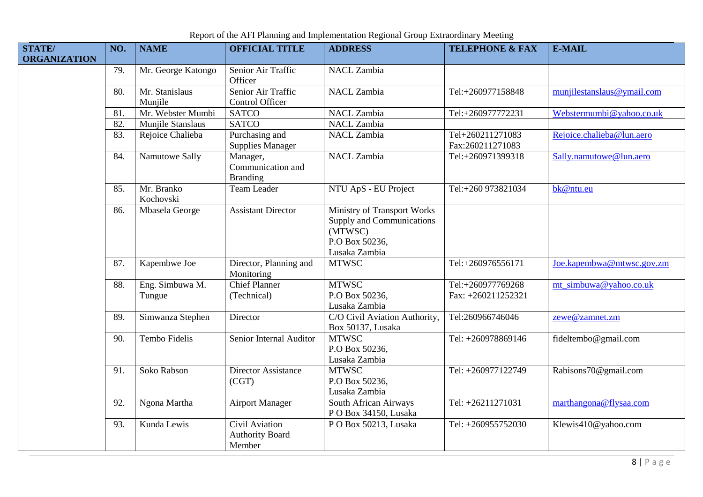Report of the AFI Planning and Implementation Regional Group Extraordinary Meeting

| <b>STATE/</b><br><b>ORGANIZATION</b> | NO. | <b>NAME</b>               | <b>OFFICIAL TITLE</b>                              | <b>ADDRESS</b>                                                                                                | <b>TELEPHONE &amp; FAX</b>              | <b>E-MAIL</b>              |
|--------------------------------------|-----|---------------------------|----------------------------------------------------|---------------------------------------------------------------------------------------------------------------|-----------------------------------------|----------------------------|
|                                      | 79. | Mr. George Katongo        | Senior Air Traffic<br>Officer                      | NACL Zambia                                                                                                   |                                         |                            |
|                                      | 80. | Mr. Stanislaus<br>Munjile | Senior Air Traffic<br>Control Officer              | <b>NACL</b> Zambia                                                                                            | Tel:+260977158848                       | munjilestanslaus@ymail.com |
|                                      | 81. | Mr. Webster Mumbi         | <b>SATCO</b>                                       | <b>NACL</b> Zambia                                                                                            | Tel:+260977772231                       | Webstermumbi@yahoo.co.uk   |
|                                      | 82. | Munjile Stanslaus         | <b>SATCO</b>                                       | <b>NACL</b> Zambia                                                                                            |                                         |                            |
|                                      | 83. | Rejoice Chalieba          | Purchasing and<br><b>Supplies Manager</b>          | <b>NACL</b> Zambia                                                                                            | Tel+260211271083<br>Fax:260211271083    | Rejoice.chalieba@lun.aero  |
|                                      | 84. | Namutowe Sally            | Manager,<br>Communication and<br><b>Branding</b>   | <b>NACL</b> Zambia                                                                                            | Tel:+260971399318                       | Sally.namutowe@lun.aero    |
|                                      | 85. | Mr. Branko<br>Kochovski   | Team Leader                                        | NTU ApS - EU Project                                                                                          | Tel:+260 973821034                      | bk@ntu.eu                  |
|                                      | 86. | Mbasela George            | <b>Assistant Director</b>                          | <b>Ministry of Transport Works</b><br>Supply and Communications<br>(MTWSC)<br>P.O Box 50236,<br>Lusaka Zambia |                                         |                            |
|                                      | 87. | Kapembwe Joe              | Director, Planning and<br>Monitoring               | <b>MTWSC</b>                                                                                                  | Tel:+260976556171                       | Joe.kapembwa@mtwsc.gov.zm  |
|                                      | 88. | Eng. Simbuwa M.<br>Tungue | <b>Chief Planner</b><br>(Technical)                | <b>MTWSC</b><br>P.O Box 50236,<br>Lusaka Zambia                                                               | Tel:+260977769268<br>Fax: +260211252321 | mt simbuwa@yahoo.co.uk     |
|                                      | 89. | Simwanza Stephen          | Director                                           | C/O Civil Aviation Authority,<br>Box 50137, Lusaka                                                            | Tel:260966746046                        | zewe@zamnet.zm             |
|                                      | 90. | Tembo Fidelis             | Senior Internal Auditor                            | <b>MTWSC</b><br>P.O Box 50236,<br>Lusaka Zambia                                                               | Tel: +260978869146                      | fideltembo@gmail.com       |
|                                      | 91. | Soko Rabson               | Director Assistance<br>(CGT)                       | <b>MTWSC</b><br>P.O Box 50236,<br>Lusaka Zambia                                                               | Tel: +260977122749                      | Rabisons70@gmail.com       |
|                                      | 92. | Ngona Martha              | <b>Airport Manager</b>                             | South African Airways<br>PO Box 34150, Lusaka                                                                 | Tel: +26211271031                       | marthangona@flysaa.com     |
|                                      | 93. | Kunda Lewis               | Civil Aviation<br><b>Authority Board</b><br>Member | PO Box 50213, Lusaka                                                                                          | Tel: +260955752030                      | Klewis410@yahoo.com        |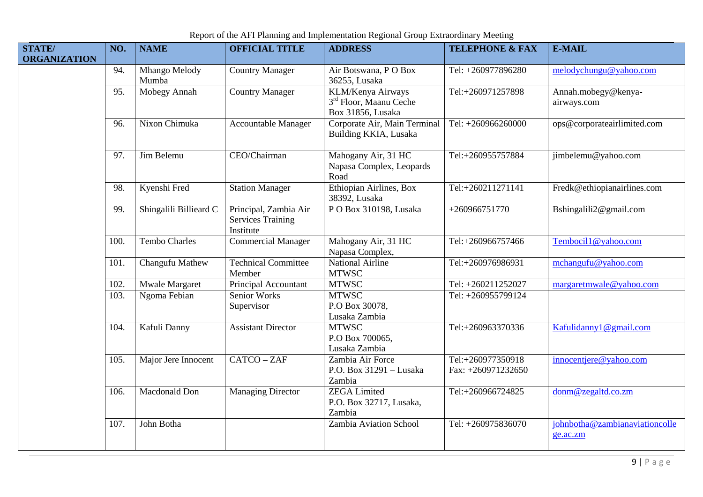Report of the AFI Planning and Implementation Regional Group Extraordinary Meeting

| <b>STATE/</b><br><b>ORGANIZATION</b> | NO.  | <b>NAME</b>            | <b>OFFICIAL TITLE</b>                                          | <b>ADDRESS</b>                                                                      | <b>TELEPHONE &amp; FAX</b>              | <b>E-MAIL</b>                              |
|--------------------------------------|------|------------------------|----------------------------------------------------------------|-------------------------------------------------------------------------------------|-----------------------------------------|--------------------------------------------|
|                                      | 94.  | Mhango Melody<br>Mumba | <b>Country Manager</b>                                         | Air Botswana, PO Box<br>36255, Lusaka                                               | Tel: +260977896280                      | melodychungu@yahoo.com                     |
|                                      | 95.  | Mobegy Annah           | <b>Country Manager</b>                                         | <b>KLM/Kenya Airways</b><br>3 <sup>rd</sup> Floor, Maanu Ceche<br>Box 31856, Lusaka | Tel:+260971257898                       | Annah.mobegy@kenya-<br>airways.com         |
|                                      | 96.  | Nixon Chimuka          | Accountable Manager                                            | Corporate Air, Main Terminal<br>Building KKIA, Lusaka                               | Tel: +260966260000                      | ops@corporateairlimited.com                |
|                                      | 97.  | Jim Belemu             | CEO/Chairman                                                   | Mahogany Air, 31 HC<br>Napasa Complex, Leopards<br>Road                             | Tel:+260955757884                       | jimbelemu@yahoo.com                        |
|                                      | 98.  | Kyenshi Fred           | <b>Station Manager</b>                                         | Ethiopian Airlines, Box<br>38392, Lusaka                                            | Tel:+260211271141                       | Fredk@ethiopianairlines.com                |
|                                      | 99.  | Shingalili Billieard C | Principal, Zambia Air<br><b>Services Training</b><br>Institute | PO Box 310198, Lusaka                                                               | $+260966751770$                         | Bshingalili2@gmail.com                     |
|                                      | 100. | <b>Tembo Charles</b>   | <b>Commercial Manager</b>                                      | Mahogany Air, 31 HC<br>Napasa Complex,                                              | Tel:+260966757466                       | Tembocil1@yahoo.com                        |
|                                      | 101. | Changufu Mathew        | <b>Technical Committee</b><br>Member                           | <b>National Airline</b><br><b>MTWSC</b>                                             | Tel:+260976986931                       | mchangufu@yahoo.com                        |
|                                      | 102. | Mwale Margaret         | Principal Accountant                                           | <b>MTWSC</b>                                                                        | Tel: +260211252027                      | margaretmwale@yahoo.com                    |
|                                      | 103. | Ngoma Febian           | Senior Works<br>Supervisor                                     | <b>MTWSC</b><br>P.O Box 30078,<br>Lusaka Zambia                                     | Tel: +260955799124                      |                                            |
|                                      | 104. | Kafuli Danny           | <b>Assistant Director</b>                                      | <b>MTWSC</b><br>P.O Box 700065,<br>Lusaka Zambia                                    | Tel:+260963370336                       | Kafulidanny1@gmail.com                     |
|                                      | 105. | Major Jere Innocent    | CATCO-ZAF                                                      | Zambia Air Force<br>P.O. Box 31291 - Lusaka<br>Zambia                               | Tel:+260977350918<br>Fax: +260971232650 | innocentjere@yahoo.com                     |
|                                      | 106. | Macdonald Don          | <b>Managing Director</b>                                       | <b>ZEGA Limited</b><br>P.O. Box 32717, Lusaka,<br>Zambia                            | Tel:+260966724825                       | donm@zegaltd.co.zm                         |
|                                      | 107. | John Botha             |                                                                | Zambia Aviation School                                                              | Tel: +260975836070                      | johnbotha@zambianaviationcolle<br>ge.ac.zm |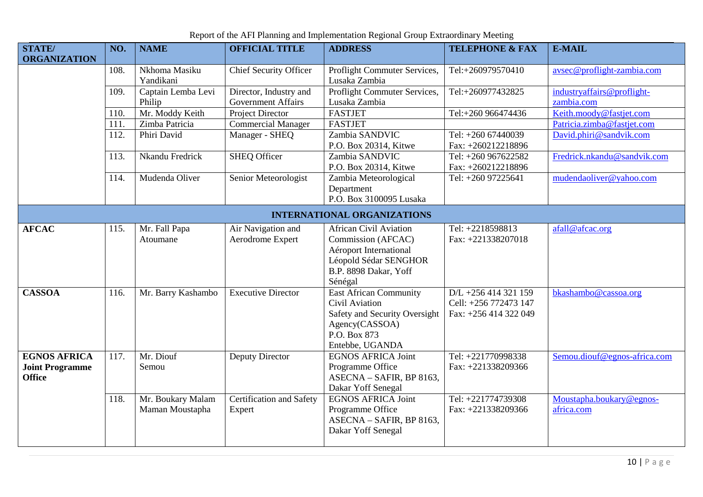Report of the AFI Planning and Implementation Regional Group Extraordinary Meeting

| <b>STATE/</b><br><b>ORGANIZATION</b>                           | NO.  | <b>NAME</b>                          | <b>OFFICIAL TITLE</b>                               | <b>ADDRESS</b>                                                                                                                             | <b>TELEPHONE &amp; FAX</b>                                             | <b>E-MAIL</b>                            |
|----------------------------------------------------------------|------|--------------------------------------|-----------------------------------------------------|--------------------------------------------------------------------------------------------------------------------------------------------|------------------------------------------------------------------------|------------------------------------------|
|                                                                | 108. | Nkhoma Masiku<br>Yandikani           | <b>Chief Security Officer</b>                       | Proflight Commuter Services,<br>Lusaka Zambia                                                                                              | Tel:+260979570410                                                      | avsec@proflight-zambia.com               |
|                                                                | 109. | Captain Lemba Levi<br>Philip         | Director, Industry and<br><b>Government Affairs</b> | Proflight Commuter Services,<br>Lusaka Zambia                                                                                              | Tel:+260977432825                                                      | industryaffairs@proflight-<br>zambia.com |
|                                                                | 110. | Mr. Moddy Keith                      | <b>Project Director</b>                             | <b>FASTJET</b>                                                                                                                             | Tel:+260 966474436                                                     | Keith.moody@fastjet.com                  |
|                                                                | 111. | Zimba Patricia                       | <b>Commercial Manager</b>                           | <b>FASTJET</b>                                                                                                                             |                                                                        | Patricia.zimba@fastjet.com               |
|                                                                | 112. | Phiri David                          | Manager - SHEQ                                      | Zambia SANDVIC<br>P.O. Box 20314, Kitwe                                                                                                    | Tel: +260 67440039<br>Fax: +260212218896                               | David.phiri@sandvik.com                  |
|                                                                | 113. | Nkandu Fredrick                      | <b>SHEQ Officer</b>                                 | Zambia SANDVIC<br>P.O. Box 20314, Kitwe                                                                                                    | Tel: +260 967622582<br>Fax: +260212218896                              | Fredrick.nkandu@sandvik.com              |
|                                                                | 114. | Mudenda Oliver                       | Senior Meteorologist                                | Zambia Meteorological<br>Department<br>P.O. Box 3100095 Lusaka                                                                             | Tel: +260 97225641                                                     | mudendaoliver@yahoo.com                  |
|                                                                |      |                                      |                                                     | <b>INTERNATIONAL ORGANIZATIONS</b>                                                                                                         |                                                                        |                                          |
| <b>AFCAC</b>                                                   | 115. | Mr. Fall Papa<br>Atoumane            | Air Navigation and<br>Aerodrome Expert              | <b>African Civil Aviation</b><br>Commission (AFCAC)<br>Aéroport International<br>Léopold Sédar SENGHOR<br>B.P. 8898 Dakar, Yoff<br>Sénégal | Tel: +2218598813<br>Fax: +221338207018                                 | afall@afcac.org                          |
| <b>CASSOA</b>                                                  | 116. | Mr. Barry Kashambo                   | <b>Executive Director</b>                           | <b>East African Community</b><br>Civil Aviation<br>Safety and Security Oversight<br>Agency(CASSOA)<br>P.O. Box 873<br>Entebbe, UGANDA      | D/L +256 414 321 159<br>Cell: +256 772473 147<br>Fax: +256 414 322 049 | bkashambo@cassoa.org                     |
| <b>EGNOS AFRICA</b><br><b>Joint Programme</b><br><b>Office</b> | 117. | Mr. Diouf<br>Semou                   | Deputy Director                                     | <b>EGNOS AFRICA Joint</b><br>Programme Office<br>ASECNA - SAFIR, BP 8163,<br>Dakar Yoff Senegal                                            | Tel: +221770998338<br>Fax: +221338209366                               | Semou.diouf@egnos-africa.com             |
|                                                                | 118. | Mr. Boukary Malam<br>Maman Moustapha | Certification and Safety<br>Expert                  | <b>EGNOS AFRICA Joint</b><br>Programme Office<br>ASECNA - SAFIR, BP 8163,<br>Dakar Yoff Senegal                                            | Tel: +221774739308<br>Fax: +221338209366                               | Moustapha.boukary@egnos-<br>africa.com   |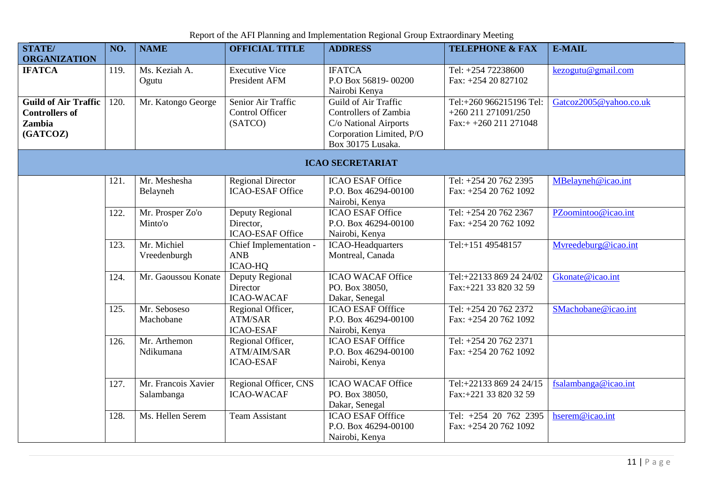Report of the AFI Planning and Implementation Regional Group Extraordinary Meeting

| <b>STATE/</b><br><b>ORGANIZATION</b> | NO.  | <b>NAME</b>         | <b>OFFICIAL TITLE</b>        | <b>ADDRESS</b>           | <b>TELEPHONE &amp; FAX</b> | <b>E-MAIL</b>          |  |
|--------------------------------------|------|---------------------|------------------------------|--------------------------|----------------------------|------------------------|--|
| <b>IFATCA</b>                        | 119. | Ms. Keziah A.       | <b>Executive Vice</b>        | <b>IFATCA</b>            | Tel: +254 72238600         | kezogutu@gmail.com     |  |
|                                      |      | Ogutu               | President AFM                | P.O Box 56819-00200      | Fax: +254 20 827102        |                        |  |
|                                      |      |                     |                              | Nairobi Kenya            |                            |                        |  |
| <b>Guild of Air Traffic</b>          | 120. | Mr. Katongo George  | Senior Air Traffic           | Guild of Air Traffic     | Tel:+260 966215196 Tel:    | Gatcoz2005@yahoo.co.uk |  |
| <b>Controllers of</b>                |      |                     | <b>Control Officer</b>       | Controllers of Zambia    | +260 211 271091/250        |                        |  |
| Zambia                               |      |                     | (SATCO)                      | C/o National Airports    | $Fax:++260211271048$       |                        |  |
| (GATCOZ)                             |      |                     |                              | Corporation Limited, P/O |                            |                        |  |
|                                      |      |                     |                              | Box 30175 Lusaka.        |                            |                        |  |
| <b>ICAO SECRETARIAT</b>              |      |                     |                              |                          |                            |                        |  |
|                                      | 121. | Mr. Meshesha        | <b>Regional Director</b>     | <b>ICAO ESAF Office</b>  | Tel: +254 20 762 2395      | MBelayneh@icao.int     |  |
|                                      |      | Belayneh            | <b>ICAO-ESAF Office</b>      | P.O. Box 46294-00100     | Fax: +254 20 762 1092      |                        |  |
|                                      |      |                     |                              | Nairobi, Kenya           |                            |                        |  |
|                                      | 122. | Mr. Prosper Zo'o    | Deputy Regional              | <b>ICAO ESAF Office</b>  | Tel: +254 20 762 2367      | PZoomintoo@icao.int    |  |
|                                      |      | Minto'o             | Director,                    | P.O. Box 46294-00100     | Fax: +254 20 762 1092      |                        |  |
|                                      |      |                     | <b>ICAO-ESAF Office</b>      | Nairobi, Kenya           |                            |                        |  |
|                                      | 123. | Mr. Michiel         | Chief Implementation -       | <b>ICAO-Headquarters</b> | Tel:+151 49548157          | Myreedeburg@icao.int   |  |
|                                      |      | Vreedenburgh        | <b>ANB</b><br><b>ICAO-HQ</b> | Montreal, Canada         |                            |                        |  |
|                                      | 124. | Mr. Gaoussou Konate | Deputy Regional              | <b>ICAO WACAF Office</b> | Tel:+22133 869 24 24/02    | Gkonate@icao.int       |  |
|                                      |      |                     | Director                     | PO. Box 38050,           | Fax:+221 33 820 32 59      |                        |  |
|                                      |      |                     | <b>ICAO-WACAF</b>            | Dakar, Senegal           |                            |                        |  |
|                                      | 125. | Mr. Seboseso        | Regional Officer,            | <b>ICAO ESAF Offfice</b> | Tel: +254 20 762 2372      | SMachobane@icao.int    |  |
|                                      |      | Machobane           | <b>ATM/SAR</b>               | P.O. Box 46294-00100     | Fax: +254 20 762 1092      |                        |  |
|                                      |      |                     | <b>ICAO-ESAF</b>             | Nairobi, Kenya           |                            |                        |  |
|                                      | 126. | Mr. Arthemon        | Regional Officer,            | <b>ICAO ESAF Offfice</b> | Tel: +254 20 762 2371      |                        |  |
|                                      |      | Ndikumana           | <b>ATM/AIM/SAR</b>           | P.O. Box 46294-00100     | Fax: +254 20 762 1092      |                        |  |
|                                      |      |                     | <b>ICAO-ESAF</b>             | Nairobi, Kenya           |                            |                        |  |
|                                      | 127. | Mr. Francois Xavier | Regional Officer, CNS        | <b>ICAO WACAF Office</b> | Tel:+22133 869 24 24/15    | fsalambanga@icao.int   |  |
|                                      |      | Salambanga          | <b>ICAO-WACAF</b>            | PO. Box 38050,           | Fax:+221 33 820 32 59      |                        |  |
|                                      |      |                     |                              | Dakar, Senegal           |                            |                        |  |
|                                      | 128. | Ms. Hellen Serem    | <b>Team Assistant</b>        | <b>ICAO ESAF Offfice</b> | Tel: +254 20 762 2395      | hserem@icao.int        |  |
|                                      |      |                     |                              | P.O. Box 46294-00100     | Fax: +254 20 762 1092      |                        |  |
|                                      |      |                     |                              | Nairobi, Kenya           |                            |                        |  |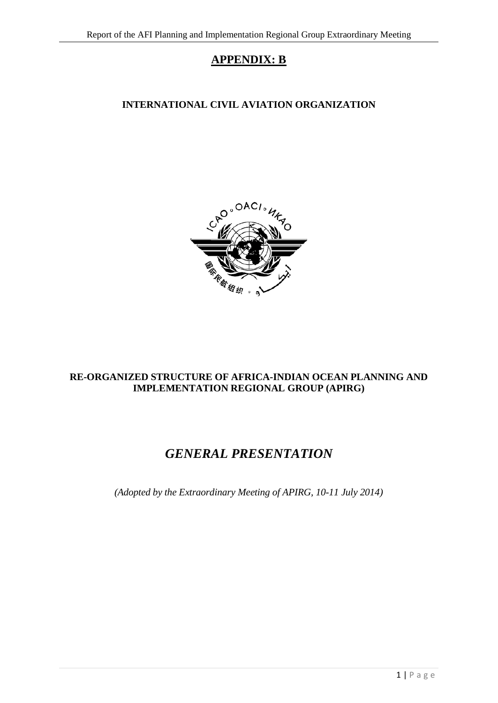# **APPENDIX: B**

## **INTERNATIONAL CIVIL AVIATION ORGANIZATION**



# **RE-ORGANIZED STRUCTURE OF AFRICA-INDIAN OCEAN PLANNING AND IMPLEMENTATION REGIONAL GROUP (APIRG)**

# *GENERAL PRESENTATION*

*(Adopted by the Extraordinary Meeting of APIRG, 10-11 July 2014)*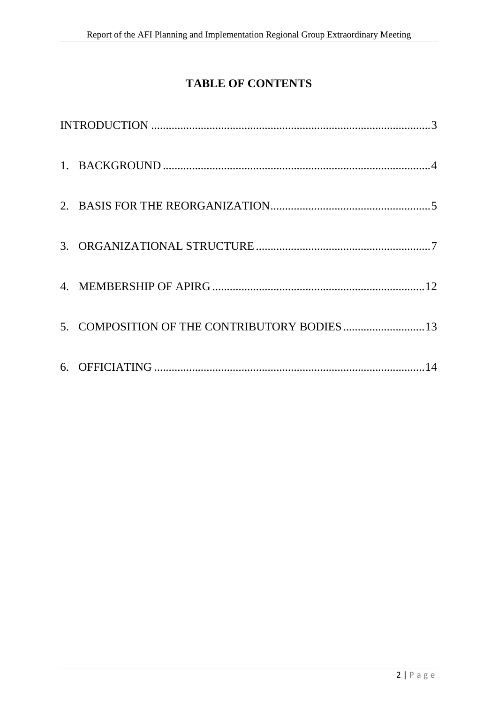# **TABLE OF CONTENTS**

<span id="page-28-0"></span>

| 5. COMPOSITION OF THE CONTRIBUTORY BODIES 13 |  |
|----------------------------------------------|--|
|                                              |  |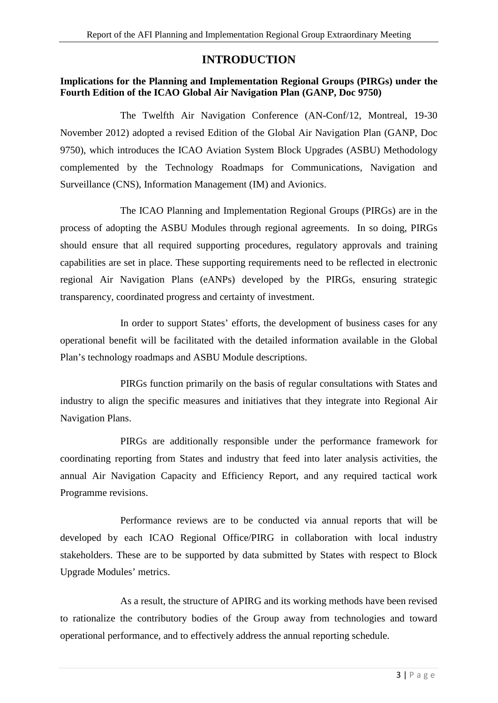# **INTRODUCTION**

## **Implications for the Planning and Implementation Regional Groups (PIRGs) under the Fourth Edition of the ICAO Global Air Navigation Plan (GANP, Doc 9750)**

 The Twelfth Air Navigation Conference (AN-Conf/12, Montreal, 19-30 November 2012) adopted a revised Edition of the Global Air Navigation Plan (GANP, Doc 9750), which introduces the ICAO Aviation System Block Upgrades (ASBU) Methodology complemented by the Technology Roadmaps for Communications, Navigation and Surveillance (CNS), Information Management (IM) and Avionics.

 The ICAO Planning and Implementation Regional Groups (PIRGs) are in the process of adopting the ASBU Modules through regional agreements. In so doing, PIRGs should ensure that all required supporting procedures, regulatory approvals and training capabilities are set in place. These supporting requirements need to be reflected in electronic regional Air Navigation Plans (eANPs) developed by the PIRGs, ensuring strategic transparency, coordinated progress and certainty of investment.

 In order to support States' efforts, the development of business cases for any operational benefit will be facilitated with the detailed information available in the Global Plan's technology roadmaps and ASBU Module descriptions.

PIRGs function primarily on the basis of regular consultations with States and industry to align the specific measures and initiatives that they integrate into Regional Air Navigation Plans.

PIRGs are additionally responsible under the performance framework for coordinating reporting from States and industry that feed into later analysis activities, the annual Air Navigation Capacity and Efficiency Report, and any required tactical work Programme revisions.

Performance reviews are to be conducted via annual reports that will be developed by each ICAO Regional Office/PIRG in collaboration with local industry stakeholders. These are to be supported by data submitted by States with respect to Block Upgrade Modules' metrics.

As a result, the structure of APIRG and its working methods have been revised to rationalize the contributory bodies of the Group away from technologies and toward operational performance, and to effectively address the annual reporting schedule.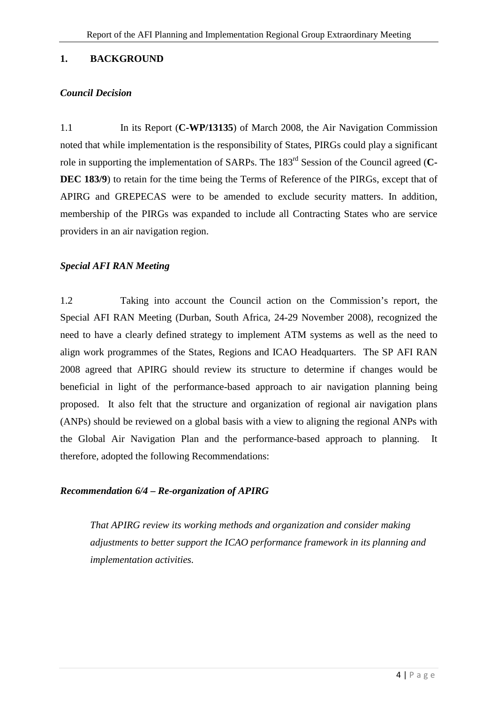## <span id="page-30-0"></span>**1. BACKGROUND**

#### *Council Decision*

1.1 In its Report (**C-WP/13135**) of March 2008, the Air Navigation Commission noted that while implementation is the responsibility of States, PIRGs could play a significant role in supporting the implementation of SARPs. The 183rd Session of the Council agreed (**C-DEC 183/9**) to retain for the time being the Terms of Reference of the PIRGs, except that of APIRG and GREPECAS were to be amended to exclude security matters. In addition, membership of the PIRGs was expanded to include all Contracting States who are service providers in an air navigation region.

### *Special AFI RAN Meeting*

1.2 Taking into account the Council action on the Commission's report, the Special AFI RAN Meeting (Durban, South Africa, 24-29 November 2008), recognized the need to have a clearly defined strategy to implement ATM systems as well as the need to align work programmes of the States, Regions and ICAO Headquarters. The SP AFI RAN 2008 agreed that APIRG should review its structure to determine if changes would be beneficial in light of the performance-based approach to air navigation planning being proposed. It also felt that the structure and organization of regional air navigation plans (ANPs) should be reviewed on a global basis with a view to aligning the regional ANPs with the Global Air Navigation Plan and the performance-based approach to planning. It therefore, adopted the following Recommendations:

#### *Recommendation 6/4 – Re-organization of APIRG*

*That APIRG review its working methods and organization and consider making adjustments to better support the ICAO performance framework in its planning and implementation activities.*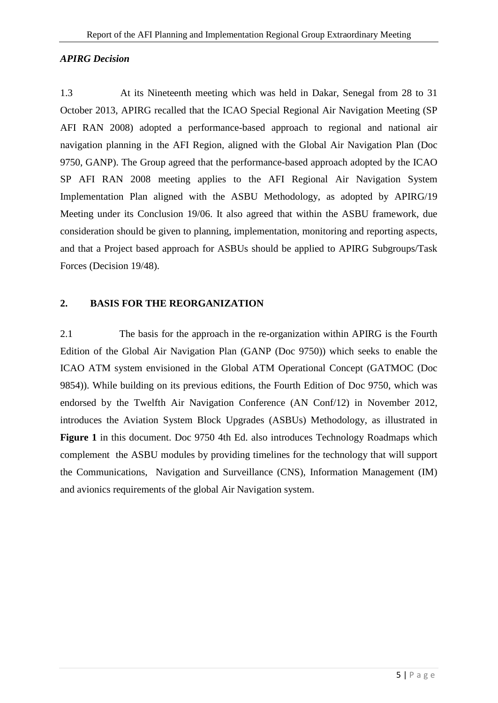### *APIRG Decision*

1.3 At its Nineteenth meeting which was held in Dakar, Senegal from 28 to 31 October 2013, APIRG recalled that the ICAO Special Regional Air Navigation Meeting (SP AFI RAN 2008) adopted a performance-based approach to regional and national air navigation planning in the AFI Region, aligned with the Global Air Navigation Plan (Doc 9750, GANP). The Group agreed that the performance-based approach adopted by the ICAO SP AFI RAN 2008 meeting applies to the AFI Regional Air Navigation System Implementation Plan aligned with the ASBU Methodology, as adopted by APIRG/19 Meeting under its Conclusion 19/06. It also agreed that within the ASBU framework, due consideration should be given to planning, implementation, monitoring and reporting aspects, and that a Project based approach for ASBUs should be applied to APIRG Subgroups/Task Forces (Decision 19/48).

#### <span id="page-31-0"></span>**2. BASIS FOR THE REORGANIZATION**

2.1 The basis for the approach in the re-organization within APIRG is the Fourth Edition of the Global Air Navigation Plan (GANP (Doc 9750)) which seeks to enable the ICAO ATM system envisioned in the Global ATM Operational Concept (GATMOC (Doc 9854)). While building on its previous editions, the Fourth Edition of Doc 9750, which was endorsed by the Twelfth Air Navigation Conference (AN Conf/12) in November 2012, introduces the Aviation System Block Upgrades (ASBUs) Methodology, as illustrated in **Figure 1** in this document. Doc 9750 4th Ed. also introduces Technology Roadmaps which complement the ASBU modules by providing timelines for the technology that will support the Communications, Navigation and Surveillance (CNS), Information Management (IM) and avionics requirements of the global Air Navigation system.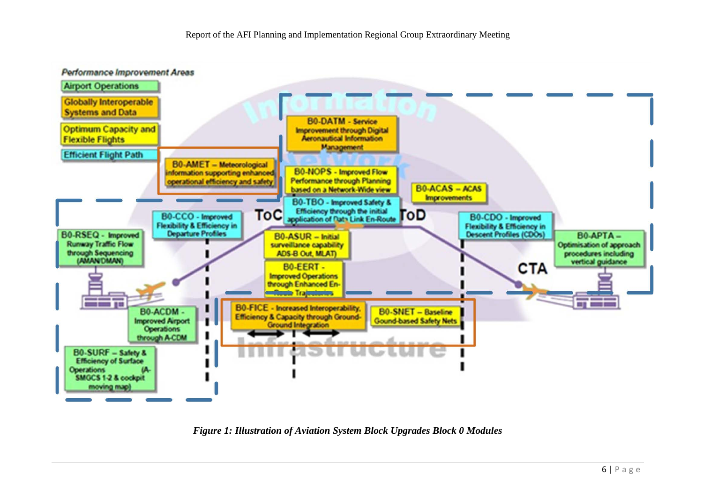

#### Performance Improvement Areas

*Figure 1: Illustration of Aviation System Block Upgrades Block 0 Modules*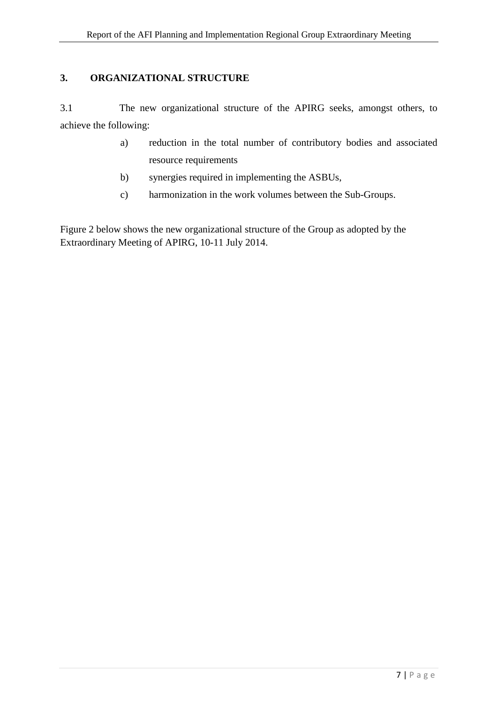## <span id="page-33-0"></span>**3. ORGANIZATIONAL STRUCTURE**

3.1 The new organizational structure of the APIRG seeks, amongst others, to achieve the following:

- a) reduction in the total number of contributory bodies and associated resource requirements
- b) synergies required in implementing the ASBUs,
- c) harmonization in the work volumes between the Sub-Groups.

Figure 2 below shows the new organizational structure of the Group as adopted by the Extraordinary Meeting of APIRG, 10-11 July 2014.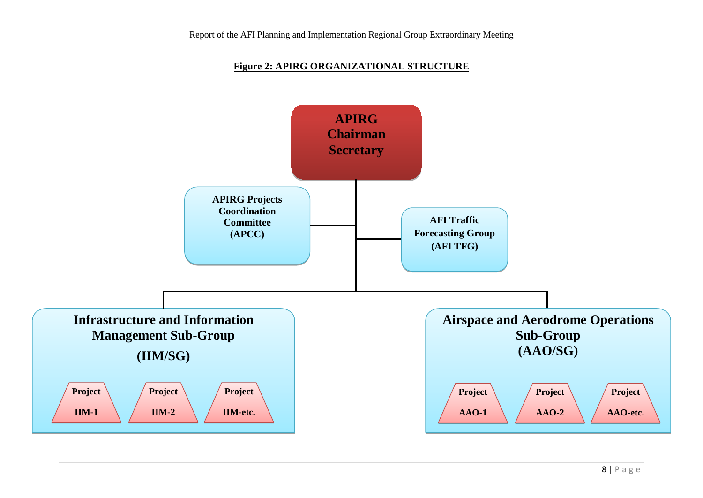## **Figure 2: APIRG ORGANIZATIONAL STRUCTURE**

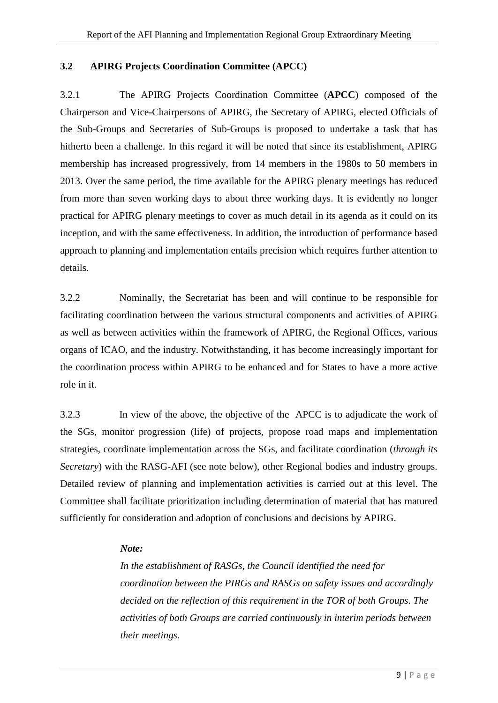#### **3.2 APIRG Projects Coordination Committee (APCC)**

3.2.1 The APIRG Projects Coordination Committee (**APCC**) composed of the Chairperson and Vice-Chairpersons of APIRG, the Secretary of APIRG, elected Officials of the Sub-Groups and Secretaries of Sub-Groups is proposed to undertake a task that has hitherto been a challenge. In this regard it will be noted that since its establishment, APIRG membership has increased progressively, from 14 members in the 1980s to 50 members in 2013. Over the same period, the time available for the APIRG plenary meetings has reduced from more than seven working days to about three working days. It is evidently no longer practical for APIRG plenary meetings to cover as much detail in its agenda as it could on its inception, and with the same effectiveness. In addition, the introduction of performance based approach to planning and implementation entails precision which requires further attention to details.

3.2.2 Nominally, the Secretariat has been and will continue to be responsible for facilitating coordination between the various structural components and activities of APIRG as well as between activities within the framework of APIRG, the Regional Offices, various organs of ICAO, and the industry. Notwithstanding, it has become increasingly important for the coordination process within APIRG to be enhanced and for States to have a more active role in it.

3.2.3 In view of the above, the objective of the APCC is to adjudicate the work of the SGs, monitor progression (life) of projects, propose road maps and implementation strategies, coordinate implementation across the SGs, and facilitate coordination (*through its Secretary*) with the RASG-AFI (see note below), other Regional bodies and industry groups. Detailed review of planning and implementation activities is carried out at this level. The Committee shall facilitate prioritization including determination of material that has matured sufficiently for consideration and adoption of conclusions and decisions by APIRG.

#### *Note:*

*In the establishment of RASGs, the Council identified the need for coordination between the PIRGs and RASGs on safety issues and accordingly decided on the reflection of this requirement in the TOR of both Groups. The activities of both Groups are carried continuously in interim periods between their meetings.*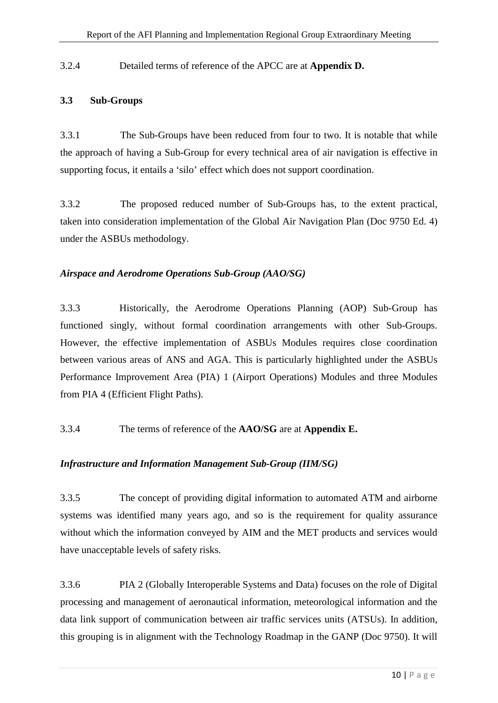## 3.2.4 Detailed terms of reference of the APCC are at **Appendix D.**

## **3.3 Sub-Groups**

3.3.1 The Sub-Groups have been reduced from four to two. It is notable that while the approach of having a Sub-Group for every technical area of air navigation is effective in supporting focus, it entails a 'silo' effect which does not support coordination.

3.3.2 The proposed reduced number of Sub-Groups has, to the extent practical, taken into consideration implementation of the Global Air Navigation Plan (Doc 9750 Ed. 4) under the ASBUs methodology.

## *Airspace and Aerodrome Operations Sub-Group (AAO/SG)*

3.3.3 Historically, the Aerodrome Operations Planning (AOP) Sub-Group has functioned singly, without formal coordination arrangements with other Sub-Groups. However, the effective implementation of ASBUs Modules requires close coordination between various areas of ANS and AGA. This is particularly highlighted under the ASBUs Performance Improvement Area (PIA) 1 (Airport Operations) Modules and three Modules from PIA 4 (Efficient Flight Paths).

## 3.3.4 The terms of reference of the **AAO/SG** are at **Appendix E.**

## *Infrastructure and Information Management Sub-Group (IIM/SG)*

3.3.5 The concept of providing digital information to automated ATM and airborne systems was identified many years ago, and so is the requirement for quality assurance without which the information conveyed by AIM and the MET products and services would have unacceptable levels of safety risks.

3.3.6 PIA 2 (Globally Interoperable Systems and Data) focuses on the role of Digital processing and management of aeronautical information, meteorological information and the data link support of communication between air traffic services units (ATSUs). In addition, this grouping is in alignment with the Technology Roadmap in the GANP (Doc 9750). It will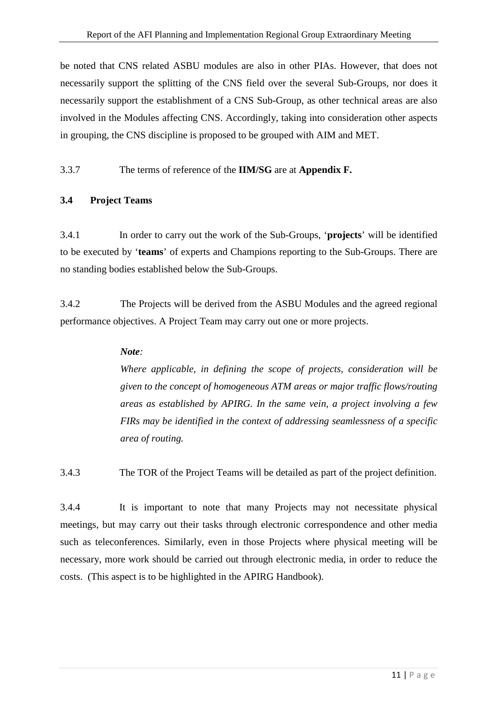be noted that CNS related ASBU modules are also in other PIAs. However, that does not necessarily support the splitting of the CNS field over the several Sub-Groups, nor does it necessarily support the establishment of a CNS Sub-Group, as other technical areas are also involved in the Modules affecting CNS. Accordingly, taking into consideration other aspects in grouping, the CNS discipline is proposed to be grouped with AIM and MET.

### 3.3.7 The terms of reference of the **IIM/SG** are at **Appendix F.**

### **3.4 Project Teams**

3.4.1 In order to carry out the work of the Sub-Groups, '**projects**' will be identified to be executed by '**teams**' of experts and Champions reporting to the Sub-Groups. There are no standing bodies established below the Sub-Groups.

3.4.2 The Projects will be derived from the ASBU Modules and the agreed regional performance objectives. A Project Team may carry out one or more projects.

### *Note:*

*Where applicable, in defining the scope of projects, consideration will be given to the concept of homogeneous ATM areas or major traffic flows/routing areas as established by APIRG. In the same vein, a project involving a few FIRs may be identified in the context of addressing seamlessness of a specific area of routing.*

3.4.3 The TOR of the Project Teams will be detailed as part of the project definition.

3.4.4 It is important to note that many Projects may not necessitate physical meetings, but may carry out their tasks through electronic correspondence and other media such as teleconferences. Similarly, even in those Projects where physical meeting will be necessary, more work should be carried out through electronic media, in order to reduce the costs. (This aspect is to be highlighted in the APIRG Handbook).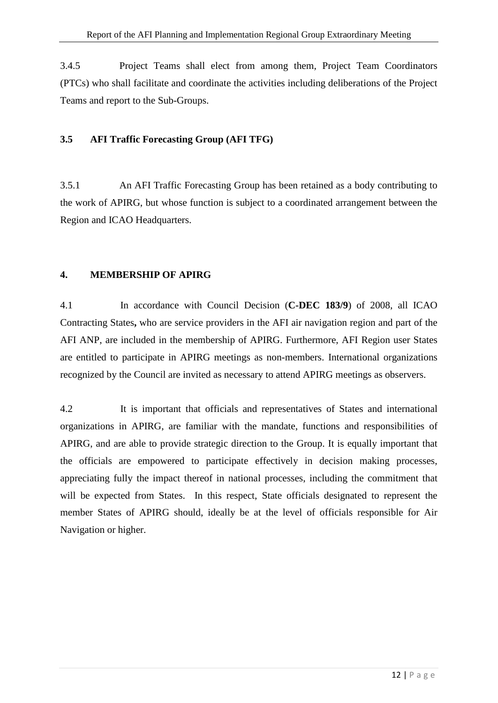3.4.5 Project Teams shall elect from among them, Project Team Coordinators (PTCs) who shall facilitate and coordinate the activities including deliberations of the Project Teams and report to the Sub-Groups.

## **3.5 AFI Traffic Forecasting Group (AFI TFG)**

3.5.1 An AFI Traffic Forecasting Group has been retained as a body contributing to the work of APIRG, but whose function is subject to a coordinated arrangement between the Region and ICAO Headquarters.

## <span id="page-38-0"></span>**4. MEMBERSHIP OF APIRG**

4.1 In accordance with Council Decision (**C-DEC 183/9**) of 2008, all ICAO Contracting States**,** who are service providers in the AFI air navigation region and part of the AFI ANP, are included in the membership of APIRG. Furthermore, AFI Region user States are entitled to participate in APIRG meetings as non-members. International organizations recognized by the Council are invited as necessary to attend APIRG meetings as observers.

4.2 It is important that officials and representatives of States and international organizations in APIRG, are familiar with the mandate, functions and responsibilities of APIRG, and are able to provide strategic direction to the Group. It is equally important that the officials are empowered to participate effectively in decision making processes, appreciating fully the impact thereof in national processes, including the commitment that will be expected from States. In this respect, State officials designated to represent the member States of APIRG should, ideally be at the level of officials responsible for Air Navigation or higher.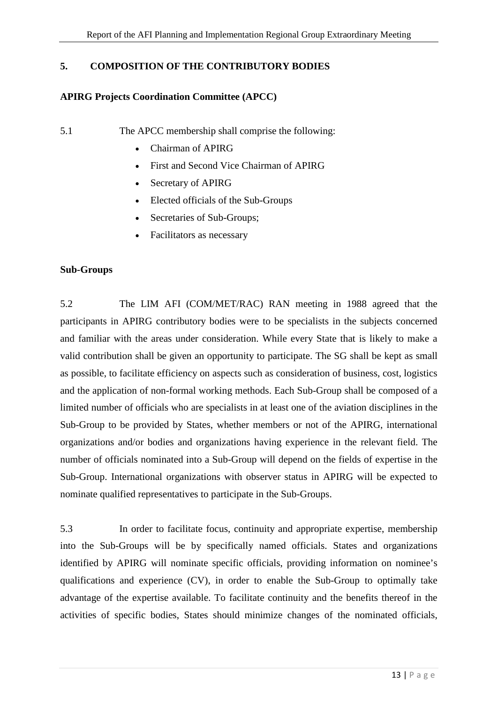### <span id="page-39-0"></span>**5. COMPOSITION OF THE CONTRIBUTORY BODIES**

#### **APIRG Projects Coordination Committee (APCC)**

5.1 The APCC membership shall comprise the following:

- Chairman of APIRG
- First and Second Vice Chairman of APIRG
- Secretary of APIRG
- Elected officials of the Sub-Groups
- Secretaries of Sub-Groups;
- Facilitators as necessary

#### **Sub-Groups**

5.2 The LIM AFI (COM/MET/RAC) RAN meeting in 1988 agreed that the participants in APIRG contributory bodies were to be specialists in the subjects concerned and familiar with the areas under consideration. While every State that is likely to make a valid contribution shall be given an opportunity to participate. The SG shall be kept as small as possible, to facilitate efficiency on aspects such as consideration of business, cost, logistics and the application of non-formal working methods. Each Sub-Group shall be composed of a limited number of officials who are specialists in at least one of the aviation disciplines in the Sub-Group to be provided by States, whether members or not of the APIRG, international organizations and/or bodies and organizations having experience in the relevant field. The number of officials nominated into a Sub-Group will depend on the fields of expertise in the Sub-Group. International organizations with observer status in APIRG will be expected to nominate qualified representatives to participate in the Sub-Groups.

5.3 In order to facilitate focus, continuity and appropriate expertise, membership into the Sub-Groups will be by specifically named officials. States and organizations identified by APIRG will nominate specific officials, providing information on nominee's qualifications and experience (CV), in order to enable the Sub-Group to optimally take advantage of the expertise available. To facilitate continuity and the benefits thereof in the activities of specific bodies, States should minimize changes of the nominated officials,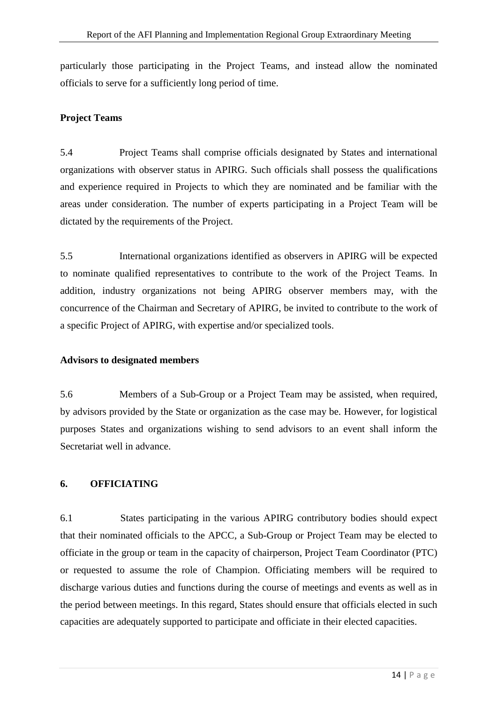particularly those participating in the Project Teams, and instead allow the nominated officials to serve for a sufficiently long period of time.

## **Project Teams**

5.4 Project Teams shall comprise officials designated by States and international organizations with observer status in APIRG. Such officials shall possess the qualifications and experience required in Projects to which they are nominated and be familiar with the areas under consideration. The number of experts participating in a Project Team will be dictated by the requirements of the Project.

5.5 International organizations identified as observers in APIRG will be expected to nominate qualified representatives to contribute to the work of the Project Teams. In addition, industry organizations not being APIRG observer members may, with the concurrence of the Chairman and Secretary of APIRG, be invited to contribute to the work of a specific Project of APIRG, with expertise and/or specialized tools.

## **Advisors to designated members**

5.6 Members of a Sub-Group or a Project Team may be assisted, when required, by advisors provided by the State or organization as the case may be. However, for logistical purposes States and organizations wishing to send advisors to an event shall inform the Secretariat well in advance.

## <span id="page-40-0"></span>**6. OFFICIATING**

6.1 States participating in the various APIRG contributory bodies should expect that their nominated officials to the APCC, a Sub-Group or Project Team may be elected to officiate in the group or team in the capacity of chairperson, Project Team Coordinator (PTC) or requested to assume the role of Champion. Officiating members will be required to discharge various duties and functions during the course of meetings and events as well as in the period between meetings. In this regard, States should ensure that officials elected in such capacities are adequately supported to participate and officiate in their elected capacities.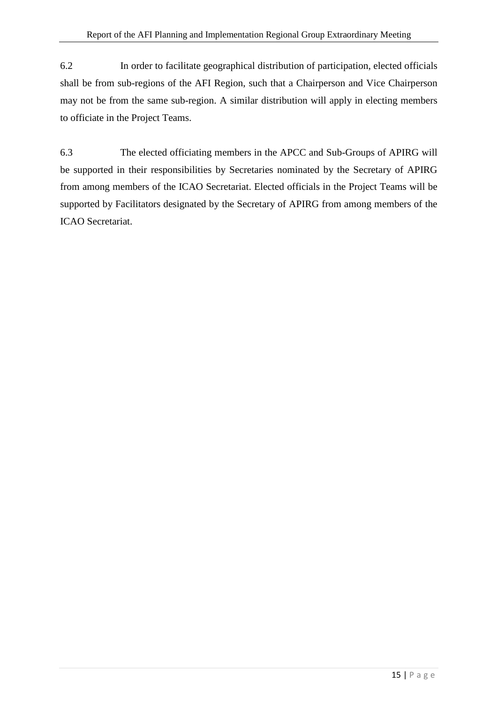6.2 In order to facilitate geographical distribution of participation, elected officials shall be from sub-regions of the AFI Region, such that a Chairperson and Vice Chairperson may not be from the same sub-region. A similar distribution will apply in electing members to officiate in the Project Teams.

6.3 The elected officiating members in the APCC and Sub-Groups of APIRG will be supported in their responsibilities by Secretaries nominated by the Secretary of APIRG from among members of the ICAO Secretariat. Elected officials in the Project Teams will be supported by Facilitators designated by the Secretary of APIRG from among members of the ICAO Secretariat.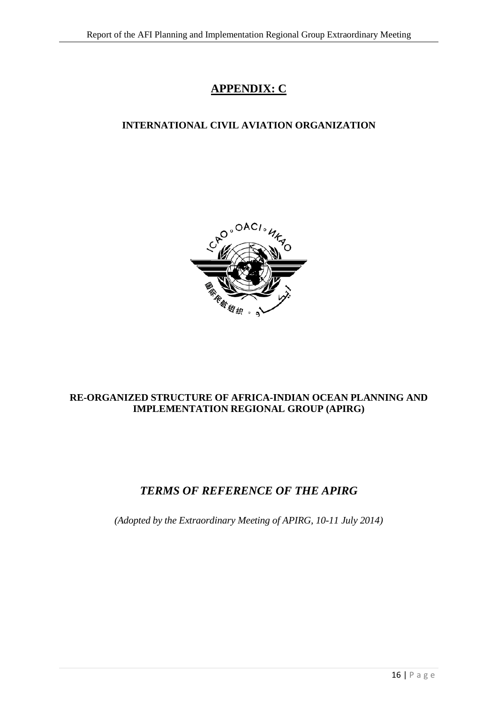# **APPENDIX: C**

# **INTERNATIONAL CIVIL AVIATION ORGANIZATION**



# **RE-ORGANIZED STRUCTURE OF AFRICA-INDIAN OCEAN PLANNING AND IMPLEMENTATION REGIONAL GROUP (APIRG)**

# *TERMS OF REFERENCE OF THE APIRG*

*(Adopted by the Extraordinary Meeting of APIRG, 10-11 July 2014)*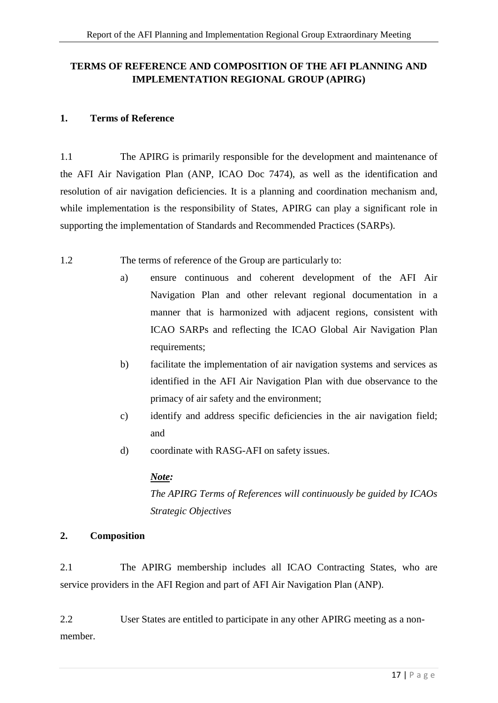# **TERMS OF REFERENCE AND COMPOSITION OF THE AFI PLANNING AND IMPLEMENTATION REGIONAL GROUP (APIRG)**

#### **1. Terms of Reference**

1.1 The APIRG is primarily responsible for the development and maintenance of the AFI Air Navigation Plan (ANP, ICAO Doc 7474), as well as the identification and resolution of air navigation deficiencies. It is a planning and coordination mechanism and, while implementation is the responsibility of States, APIRG can play a significant role in supporting the implementation of Standards and Recommended Practices (SARPs).

- 1.2 The terms of reference of the Group are particularly to:
	- a) ensure continuous and coherent development of the AFI Air Navigation Plan and other relevant regional documentation in a manner that is harmonized with adjacent regions, consistent with ICAO SARPs and reflecting the ICAO Global Air Navigation Plan requirements;
	- b) facilitate the implementation of air navigation systems and services as identified in the AFI Air Navigation Plan with due observance to the primacy of air safety and the environment;
	- c) identify and address specific deficiencies in the air navigation field; and
	- d) coordinate with RASG-AFI on safety issues.

#### *Note:*

*The APIRG Terms of References will continuously be guided by ICAOs Strategic Objectives*

#### **2. Composition**

2.1 The APIRG membership includes all ICAO Contracting States, who are service providers in the AFI Region and part of AFI Air Navigation Plan (ANP).

2.2 User States are entitled to participate in any other APIRG meeting as a nonmember.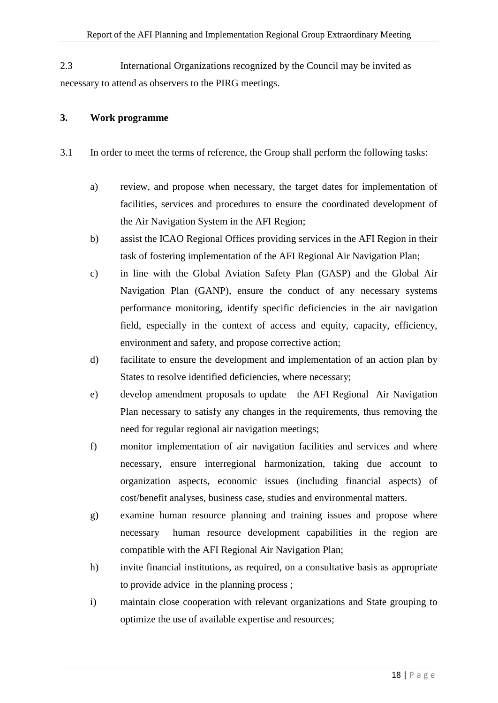2.3 International Organizations recognized by the Council may be invited as necessary to attend as observers to the PIRG meetings.

### **3. Work programme**

- 3.1 In order to meet the terms of reference, the Group shall perform the following tasks:
	- a) review, and propose when necessary, the target dates for implementation of facilities, services and procedures to ensure the coordinated development of the Air Navigation System in the AFI Region;
	- b) assist the ICAO Regional Offices providing services in the AFI Region in their task of fostering implementation of the AFI Regional Air Navigation Plan;
	- c) in line with the Global Aviation Safety Plan (GASP) and the Global Air Navigation Plan (GANP), ensure the conduct of any necessary systems performance monitoring, identify specific deficiencies in the air navigation field, especially in the context of access and equity, capacity, efficiency, environment and safety, and propose corrective action;
	- d) facilitate to ensure the development and implementation of an action plan by States to resolve identified deficiencies, where necessary;
	- e) develop amendment proposals to update the AFI Regional Air Navigation Plan necessary to satisfy any changes in the requirements, thus removing the need for regular regional air navigation meetings;
	- f) monitor implementation of air navigation facilities and services and where necessary, ensure interregional harmonization, taking due account to organization aspects, economic issues (including financial aspects) of cost/benefit analyses, business case, studies and environmental matters.
	- g) examine human resource planning and training issues and propose where necessary human resource development capabilities in the region are compatible with the AFI Regional Air Navigation Plan;
	- h) invite financial institutions, as required, on a consultative basis as appropriate to provide advice in the planning process ;
	- i) maintain close cooperation with relevant organizations and State grouping to optimize the use of available expertise and resources;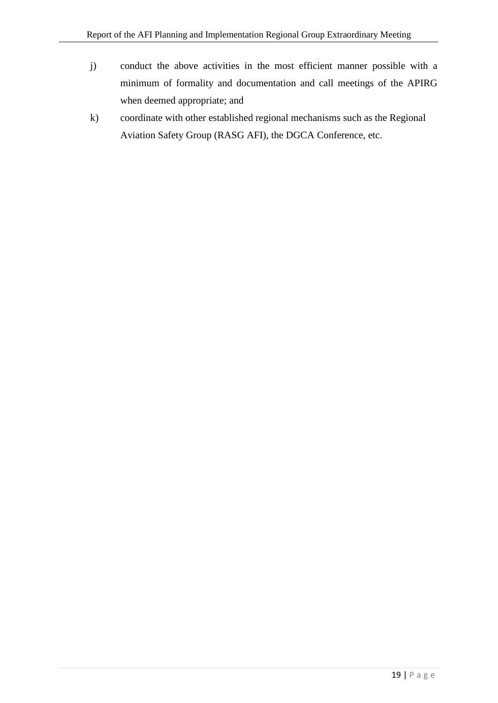- j) conduct the above activities in the most efficient manner possible with a minimum of formality and documentation and call meetings of the APIRG when deemed appropriate; and
- k) coordinate with other established regional mechanisms such as the Regional Aviation Safety Group (RASG AFI), the DGCA Conference, etc.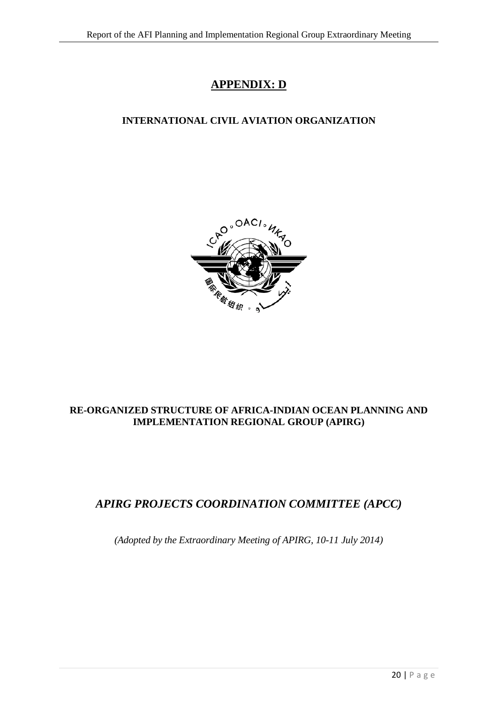# **APPENDIX: D**

# **INTERNATIONAL CIVIL AVIATION ORGANIZATION**



# **RE-ORGANIZED STRUCTURE OF AFRICA-INDIAN OCEAN PLANNING AND IMPLEMENTATION REGIONAL GROUP (APIRG)**

# *APIRG PROJECTS COORDINATION COMMITTEE (APCC)*

*(Adopted by the Extraordinary Meeting of APIRG, 10-11 July 2014)*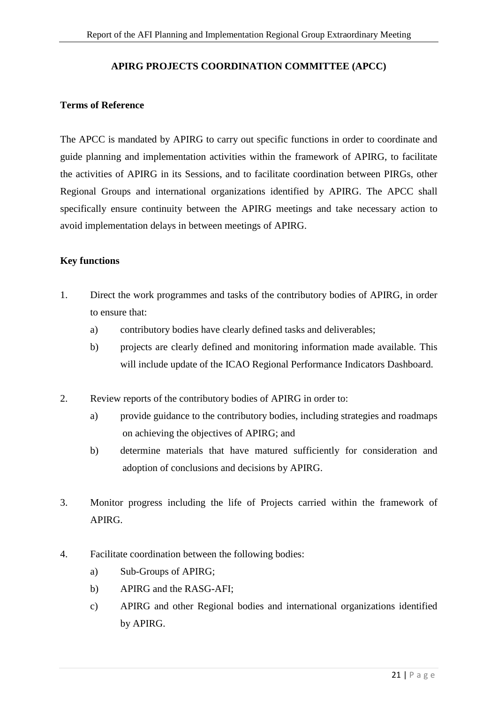### **APIRG PROJECTS COORDINATION COMMITTEE (APCC)**

#### **Terms of Reference**

The APCC is mandated by APIRG to carry out specific functions in order to coordinate and guide planning and implementation activities within the framework of APIRG, to facilitate the activities of APIRG in its Sessions, and to facilitate coordination between PIRGs, other Regional Groups and international organizations identified by APIRG. The APCC shall specifically ensure continuity between the APIRG meetings and take necessary action to avoid implementation delays in between meetings of APIRG.

### **Key functions**

- 1. Direct the work programmes and tasks of the contributory bodies of APIRG, in order to ensure that:
	- a) contributory bodies have clearly defined tasks and deliverables;
	- b) projects are clearly defined and monitoring information made available. This will include update of the ICAO Regional Performance Indicators Dashboard.
- 2. Review reports of the contributory bodies of APIRG in order to:
	- a) provide guidance to the contributory bodies, including strategies and roadmaps on achieving the objectives of APIRG; and
	- b) determine materials that have matured sufficiently for consideration and adoption of conclusions and decisions by APIRG.
- 3. Monitor progress including the life of Projects carried within the framework of APIRG.
- 4. Facilitate coordination between the following bodies:
	- a) Sub-Groups of APIRG;
	- b) APIRG and the RASG-AFI;
	- c) APIRG and other Regional bodies and international organizations identified by APIRG.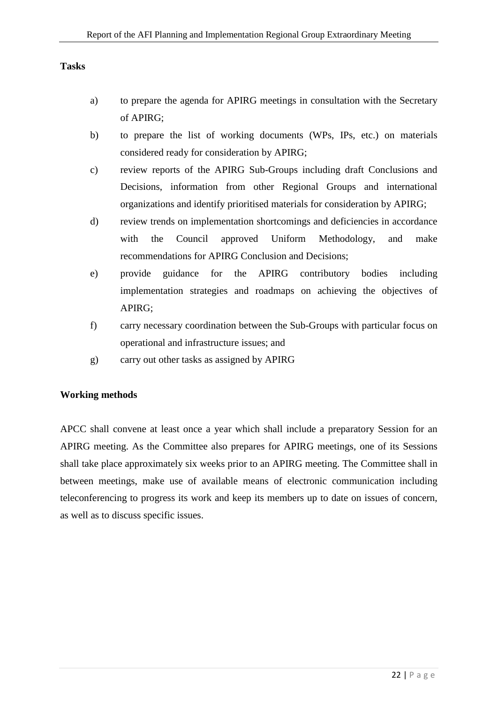### **Tasks**

- a) to prepare the agenda for APIRG meetings in consultation with the Secretary of APIRG;
- b) to prepare the list of working documents (WPs, IPs, etc.) on materials considered ready for consideration by APIRG;
- c) review reports of the APIRG Sub-Groups including draft Conclusions and Decisions, information from other Regional Groups and international organizations and identify prioritised materials for consideration by APIRG;
- d) review trends on implementation shortcomings and deficiencies in accordance with the Council approved Uniform Methodology, and make recommendations for APIRG Conclusion and Decisions;
- e) provide guidance for the APIRG contributory bodies including implementation strategies and roadmaps on achieving the objectives of APIRG;
- f) carry necessary coordination between the Sub-Groups with particular focus on operational and infrastructure issues; and
- g) carry out other tasks as assigned by APIRG

#### **Working methods**

APCC shall convene at least once a year which shall include a preparatory Session for an APIRG meeting. As the Committee also prepares for APIRG meetings, one of its Sessions shall take place approximately six weeks prior to an APIRG meeting. The Committee shall in between meetings, make use of available means of electronic communication including teleconferencing to progress its work and keep its members up to date on issues of concern, as well as to discuss specific issues.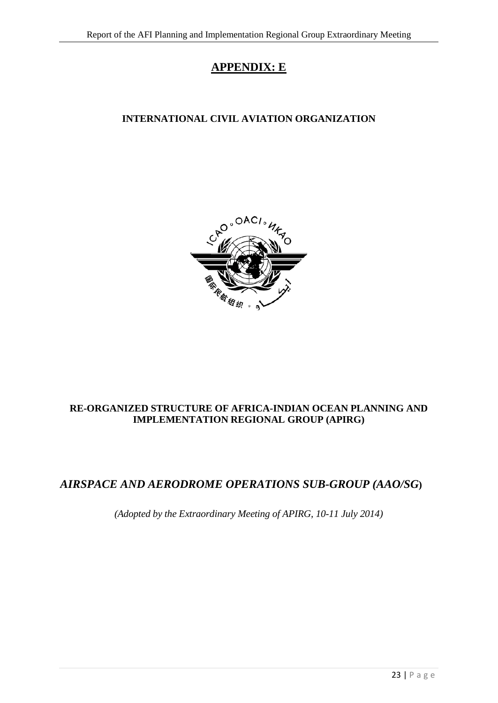# **APPENDIX: E**

## **INTERNATIONAL CIVIL AVIATION ORGANIZATION**



## **RE-ORGANIZED STRUCTURE OF AFRICA-INDIAN OCEAN PLANNING AND IMPLEMENTATION REGIONAL GROUP (APIRG)**

# *AIRSPACE AND AERODROME OPERATIONS SUB-GROUP (AAO/SG***)**

*(Adopted by the Extraordinary Meeting of APIRG, 10-11 July 2014)*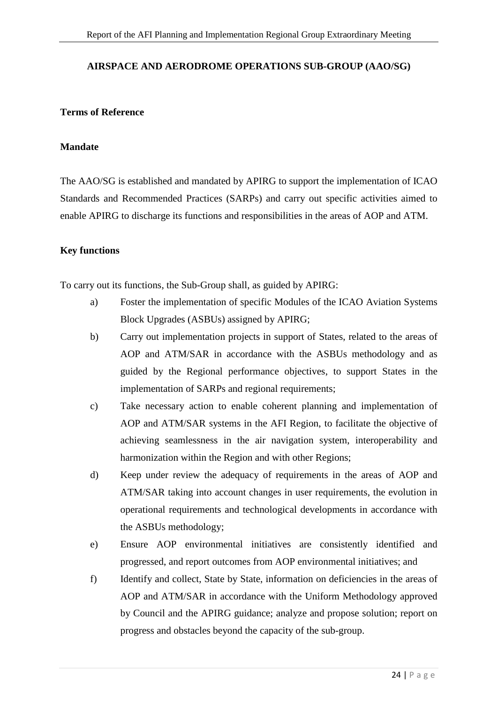#### **AIRSPACE AND AERODROME OPERATIONS SUB-GROUP (AAO/SG)**

#### **Terms of Reference**

#### **Mandate**

The AAO/SG is established and mandated by APIRG to support the implementation of ICAO Standards and Recommended Practices (SARPs) and carry out specific activities aimed to enable APIRG to discharge its functions and responsibilities in the areas of AOP and ATM.

#### **Key functions**

To carry out its functions, the Sub-Group shall, as guided by APIRG:

- a) Foster the implementation of specific Modules of the ICAO Aviation Systems Block Upgrades (ASBUs) assigned by APIRG;
- b) Carry out implementation projects in support of States, related to the areas of AOP and ATM/SAR in accordance with the ASBUs methodology and as guided by the Regional performance objectives, to support States in the implementation of SARPs and regional requirements;
- c) Take necessary action to enable coherent planning and implementation of AOP and ATM/SAR systems in the AFI Region, to facilitate the objective of achieving seamlessness in the air navigation system, interoperability and harmonization within the Region and with other Regions;
- d) Keep under review the adequacy of requirements in the areas of AOP and ATM/SAR taking into account changes in user requirements, the evolution in operational requirements and technological developments in accordance with the ASBUs methodology;
- e) Ensure AOP environmental initiatives are consistently identified and progressed, and report outcomes from AOP environmental initiatives; and
- f) Identify and collect, State by State, information on deficiencies in the areas of AOP and ATM/SAR in accordance with the Uniform Methodology approved by Council and the APIRG guidance; analyze and propose solution; report on progress and obstacles beyond the capacity of the sub-group.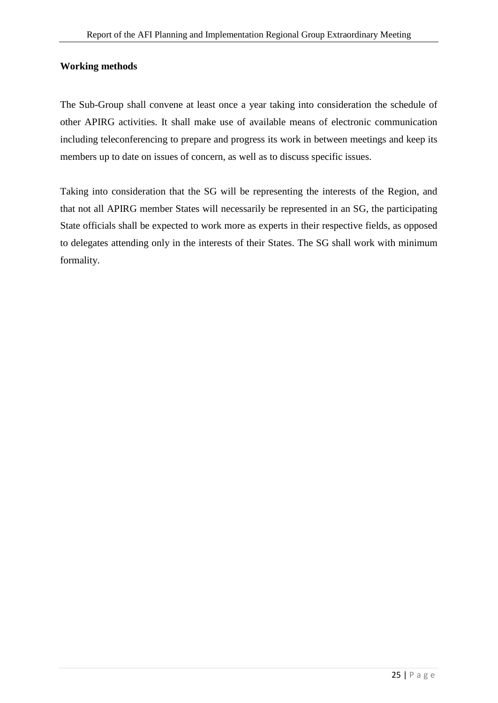#### **Working methods**

The Sub-Group shall convene at least once a year taking into consideration the schedule of other APIRG activities. It shall make use of available means of electronic communication including teleconferencing to prepare and progress its work in between meetings and keep its members up to date on issues of concern, as well as to discuss specific issues.

Taking into consideration that the SG will be representing the interests of the Region, and that not all APIRG member States will necessarily be represented in an SG, the participating State officials shall be expected to work more as experts in their respective fields, as opposed to delegates attending only in the interests of their States. The SG shall work with minimum formality.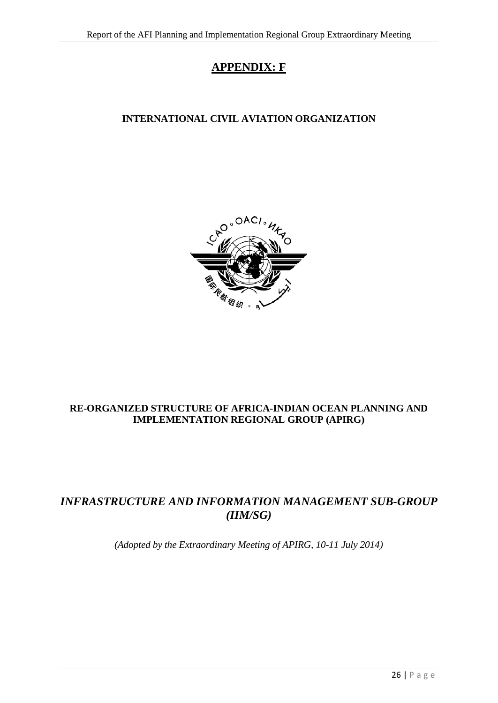# **APPENDIX: F**

# **INTERNATIONAL CIVIL AVIATION ORGANIZATION**



# **RE-ORGANIZED STRUCTURE OF AFRICA-INDIAN OCEAN PLANNING AND IMPLEMENTATION REGIONAL GROUP (APIRG)**

# *INFRASTRUCTURE AND INFORMATION MANAGEMENT SUB-GROUP (IIM/SG)*

*(Adopted by the Extraordinary Meeting of APIRG, 10-11 July 2014)*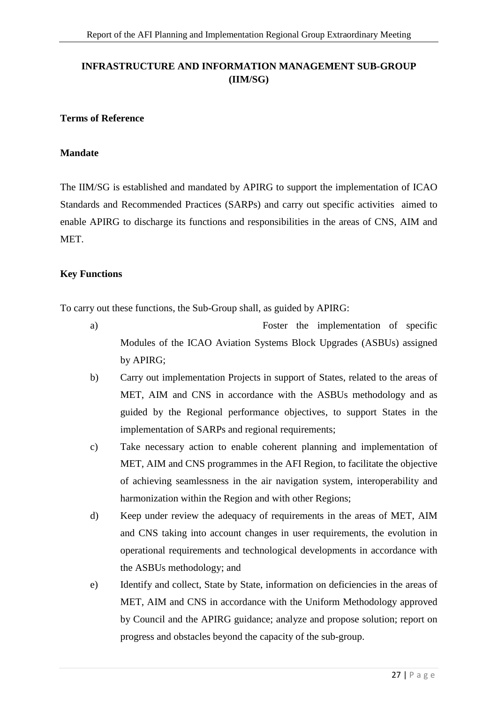# **INFRASTRUCTURE AND INFORMATION MANAGEMENT SUB-GROUP (IIM/SG)**

#### **Terms of Reference**

#### **Mandate**

The IIM/SG is established and mandated by APIRG to support the implementation of ICAO Standards and Recommended Practices (SARPs) and carry out specific activities aimed to enable APIRG to discharge its functions and responsibilities in the areas of CNS, AIM and MET.

#### **Key Functions**

To carry out these functions, the Sub-Group shall, as guided by APIRG:

- a) Foster the implementation of specific Modules of the ICAO Aviation Systems Block Upgrades (ASBUs) assigned by APIRG;
- b) Carry out implementation Projects in support of States, related to the areas of MET, AIM and CNS in accordance with the ASBUs methodology and as guided by the Regional performance objectives, to support States in the implementation of SARPs and regional requirements;
- c) Take necessary action to enable coherent planning and implementation of MET, AIM and CNS programmes in the AFI Region, to facilitate the objective of achieving seamlessness in the air navigation system, interoperability and harmonization within the Region and with other Regions;
- d) Keep under review the adequacy of requirements in the areas of MET, AIM and CNS taking into account changes in user requirements, the evolution in operational requirements and technological developments in accordance with the ASBUs methodology; and
- e) Identify and collect, State by State, information on deficiencies in the areas of MET, AIM and CNS in accordance with the Uniform Methodology approved by Council and the APIRG guidance; analyze and propose solution; report on progress and obstacles beyond the capacity of the sub-group.